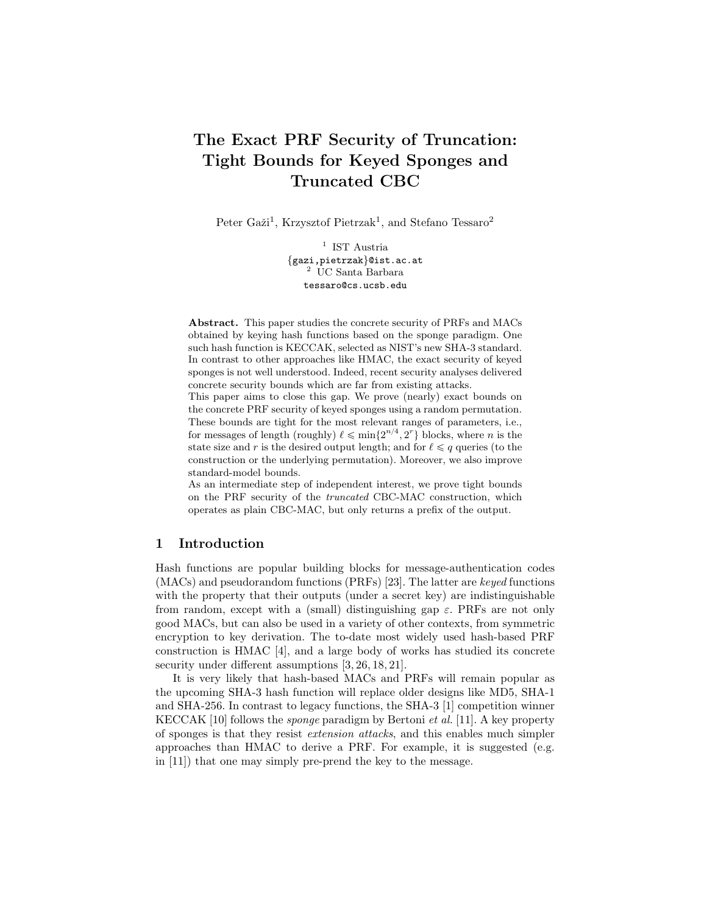# The Exact PRF Security of Truncation: Tight Bounds for Keyed Sponges and Truncated CBC

Peter Gaži<sup>1</sup>, Krzysztof Pietrzak<sup>1</sup>, and Stefano Tessaro<sup>2</sup>

<sup>1</sup> IST Austria {gazi,pietrzak}@ist.ac.at <sup>2</sup> UC Santa Barbara tessaro@cs.ucsb.edu

Abstract. This paper studies the concrete security of PRFs and MACs obtained by keying hash functions based on the sponge paradigm. One such hash function is KECCAK, selected as NIST's new SHA-3 standard. In contrast to other approaches like HMAC, the exact security of keyed sponges is not well understood. Indeed, recent security analyses delivered concrete security bounds which are far from existing attacks.

This paper aims to close this gap. We prove (nearly) exact bounds on the concrete PRF security of keyed sponges using a random permutation. These bounds are tight for the most relevant ranges of parameters, i.e., for messages of length (roughly)  $\ell \leq \min\{2^{n/4}, 2^r\}$  blocks, where *n* is the state size and r is the desired output length; and for  $\ell \leq q$  queries (to the construction or the underlying permutation). Moreover, we also improve standard-model bounds.

As an intermediate step of independent interest, we prove tight bounds on the PRF security of the truncated CBC-MAC construction, which operates as plain CBC-MAC, but only returns a prefix of the output.

## 1 Introduction

Hash functions are popular building blocks for message-authentication codes (MACs) and pseudorandom functions (PRFs) [23]. The latter are keyed functions with the property that their outputs (under a secret key) are indistinguishable from random, except with a (small) distinguishing gap  $\varepsilon$ . PRFs are not only good MACs, but can also be used in a variety of other contexts, from symmetric encryption to key derivation. The to-date most widely used hash-based PRF construction is HMAC [4], and a large body of works has studied its concrete security under different assumptions  $[3, 26, 18, 21]$ .

It is very likely that hash-based MACs and PRFs will remain popular as the upcoming SHA-3 hash function will replace older designs like MD5, SHA-1 and SHA-256. In contrast to legacy functions, the SHA-3 [1] competition winner KECCAK [10] follows the sponge paradigm by Bertoni et al. [11]. A key property of sponges is that they resist extension attacks, and this enables much simpler approaches than HMAC to derive a PRF. For example, it is suggested (e.g. in [11]) that one may simply pre-prend the key to the message.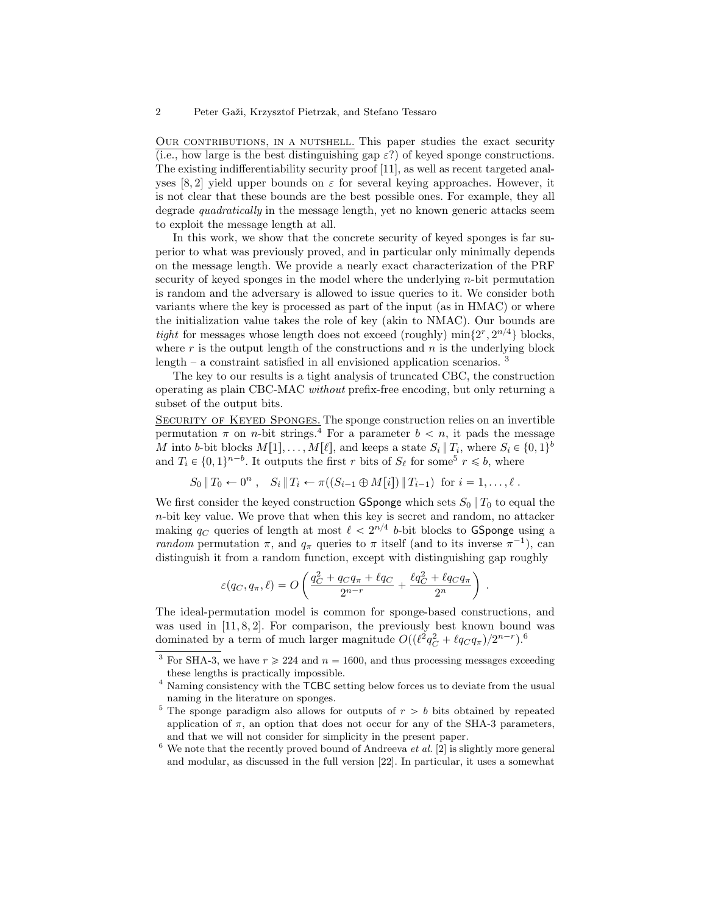OUR CONTRIBUTIONS, IN A NUTSHELL. This paper studies the exact security (i.e., how large is the best distinguishing gap  $\varepsilon$ ?) of keyed sponge constructions. The existing indifferentiability security proof [11], as well as recent targeted analyses [8, 2] yield upper bounds on  $\varepsilon$  for several keying approaches. However, it is not clear that these bounds are the best possible ones. For example, they all degrade *quadratically* in the message length, yet no known generic attacks seem to exploit the message length at all.

In this work, we show that the concrete security of keyed sponges is far superior to what was previously proved, and in particular only minimally depends on the message length. We provide a nearly exact characterization of the PRF security of keyed sponges in the model where the underlying  $n$ -bit permutation is random and the adversary is allowed to issue queries to it. We consider both variants where the key is processed as part of the input (as in HMAC) or where the initialization value takes the role of key (akin to NMAC). Our bounds are *tight* for messages whose length does not exceed (roughly)  $\min\{2^r, 2^{n/4}\}\$  blocks, where  $r$  is the output length of the constructions and  $n$  is the underlying block length – a constraint satisfied in all envisioned application scenarios.  $3$ 

The key to our results is a tight analysis of truncated CBC, the construction operating as plain CBC-MAC without prefix-free encoding, but only returning a subset of the output bits.

SECURITY OF KEYED SPONGES. The sponge construction relies on an invertible permutation  $\pi$  on *n*-bit strings.<sup>4</sup> For a parameter  $b < n$ , it pads the message M into b-bit blocks  $M[1], \ldots, M[\ell]$ , and keeps a state  $S_i | T_i$ , where  $S_i \in \{0, 1\}^b$ and  $T_i \in \{0, 1\}^{n-b}$ . It outputs the first r bits of  $S_\ell$  for some<sup>5</sup>  $r \leq b$ , where

$$
S_0 \| T_0 \leftarrow 0^n
$$
,  $S_i \| T_i \leftarrow \pi((S_{i-1} \oplus M[i]) \| T_{i-1})$  for  $i = 1, ..., \ell$ .

We first consider the keyed construction GSponge which sets  $S_0 \parallel T_0$  to equal the n-bit key value. We prove that when this key is secret and random, no attacker making  $q_C$  queries of length at most  $\ell < 2^{n/4}$  b-bit blocks to GSponge using a random permutation  $\pi$ , and  $q_{\pi}$  queries to  $\pi$  itself (and to its inverse  $\pi^{-1}$ ), can distinguish it from a random function, except with distinguishing gap roughly

$$
\varepsilon(q_C, q_\pi, \ell) = O\left(\frac{q_C^2 + q_C q_\pi + \ell q_C}{2^{n-r}} + \frac{\ell q_C^2 + \ell q_C q_\pi}{2^n}\right)
$$

.

The ideal-permutation model is common for sponge-based constructions, and was used in  $[11, 8, 2]$ . For comparison, the previously best known bound was dominated by a term of much larger magnitude  $O((\ell^2 q_C^2 + \ell q_C q_{\pi})/2^{n-r})$ .<sup>6</sup>

 $6$  We note that the recently proved bound of Andreeva et al. [2] is slightly more general and modular, as discussed in the full version [22]. In particular, it uses a somewhat

<sup>&</sup>lt;sup>3</sup> For SHA-3, we have  $r \ge 224$  and  $n = 1600$ , and thus processing messages exceeding these lengths is practically impossible.

<sup>&</sup>lt;sup>4</sup> Naming consistency with the TCBC setting below forces us to deviate from the usual naming in the literature on sponges.

<sup>&</sup>lt;sup>5</sup> The sponge paradigm also allows for outputs of  $r > b$  bits obtained by repeated application of  $\pi$ , an option that does not occur for any of the SHA-3 parameters, and that we will not consider for simplicity in the present paper.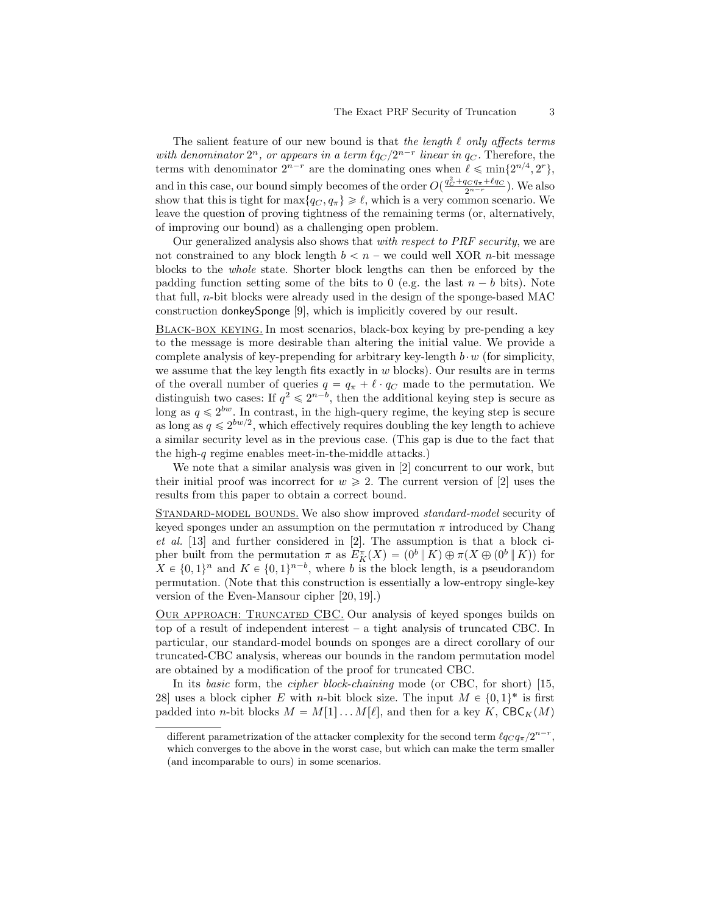The salient feature of our new bound is that the length  $\ell$  only affects terms with denominator  $2^n$ , or appears in a term  $\ell q_C / 2^{n-r}$  linear in  $q_C$ . Therefore, the terms with denominator  $2^{n-r}$  are the dominating ones when  $\ell \leq \min\{2^{n/4}, 2^r\},$ and in this case, our bound simply becomes of the order  $O(\frac{q_C^2 + q_C q_\pi + \ell q_C}{2^{n-r}})$ . We also show that this is tight for  $\max\{q_C, q_\pi\} \geq \ell$ , which is a very common scenario. We leave the question of proving tightness of the remaining terms (or, alternatively, of improving our bound) as a challenging open problem.

Our generalized analysis also shows that with respect to PRF security, we are not constrained to any block length  $b < n$  – we could well XOR *n*-bit message blocks to the whole state. Shorter block lengths can then be enforced by the padding function setting some of the bits to 0 (e.g. the last  $n - b$  bits). Note that full,  $n$ -bit blocks were already used in the design of the sponge-based MAC construction donkeySponge [9], which is implicitly covered by our result.

Black-box keying. In most scenarios, black-box keying by pre-pending a key to the message is more desirable than altering the initial value. We provide a complete analysis of key-prepending for arbitrary key-length  $b \cdot w$  (for simplicity, we assume that the key length fits exactly in  $w$  blocks). Our results are in terms of the overall number of queries  $q = q_{\pi} + \ell \cdot q_{\mathcal{C}}$  made to the permutation. We distinguish two cases: If  $q^2 \n\leq 2^{n-b}$ , then the additional keying step is secure as long as  $q \leq 2^{bw}$ . In contrast, in the high-query regime, the keying step is secure as long as  $q \leq 2^{bw/2}$ , which effectively requires doubling the key length to achieve a similar security level as in the previous case. (This gap is due to the fact that the high-q regime enables meet-in-the-middle attacks.)

We note that a similar analysis was given in [2] concurrent to our work, but their initial proof was incorrect for  $w \ge 2$ . The current version of [2] uses the results from this paper to obtain a correct bound.

STANDARD-MODEL BOUNDS. We also show improved standard-model security of keyed sponges under an assumption on the permutation  $\pi$  introduced by Chang et al. [13] and further considered in [2]. The assumption is that a block cipher built from the permutation  $\pi$  as  $E_K^{\pi}(X) = (0^b \, \| K) \oplus \pi(X \oplus (0^b \, \| K))$  for  $X \in \{0,1\}^n$  and  $K \in \{0,1\}^{n-b}$ , where b is the block length, is a pseudorandom permutation. (Note that this construction is essentially a low-entropy single-key version of the Even-Mansour cipher [20, 19].)

Our approach: Truncated CBC. Our analysis of keyed sponges builds on top of a result of independent interest – a tight analysis of truncated CBC. In particular, our standard-model bounds on sponges are a direct corollary of our truncated-CBC analysis, whereas our bounds in the random permutation model are obtained by a modification of the proof for truncated CBC.

In its basic form, the cipher block-chaining mode (or CBC, for short) [15, 28] uses a block cipher E with *n*-bit block size. The input  $M \in \{0, 1\}^*$  is first padded into n-bit blocks  $M = M[1] \dots M[\ell]$ , and then for a key K, CBC<sub>K</sub>(M)

different parametrization of the attacker complexity for the second term  $\ell q_C q_\pi / 2^{n-r}$ , which converges to the above in the worst case, but which can make the term smaller (and incomparable to ours) in some scenarios.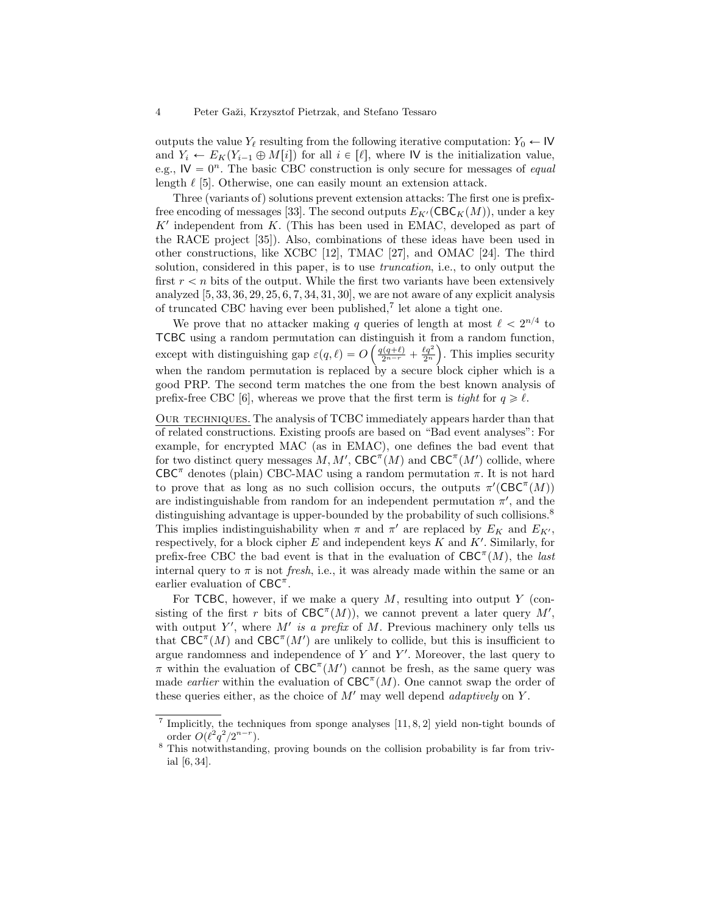outputs the value  $Y_\ell$  resulting from the following iterative computation:  $Y_0 \leftarrow \mathsf{IV}$ and  $Y_i \leftarrow E_K(Y_{i-1} \oplus M[i])$  for all  $i \in [\ell],$  where IV is the initialization value, e.g.,  $\mathsf{IV} = 0^n$ . The basic CBC construction is only secure for messages of *equal* length  $\ell$  [5]. Otherwise, one can easily mount an extension attack.

Three (variants of) solutions prevent extension attacks: The first one is prefixfree encoding of messages [33]. The second outputs  $E_{K'}(\text{CBC}_K(M))$ , under a key  $K'$  independent from  $K$ . (This has been used in EMAC, developed as part of the RACE project [35]). Also, combinations of these ideas have been used in other constructions, like XCBC [12], TMAC [27], and OMAC [24]. The third solution, considered in this paper, is to use truncation, i.e., to only output the first  $r < n$  bits of the output. While the first two variants have been extensively analyzed  $[5, 33, 36, 29, 25, 6, 7, 34, 31, 30]$ , we are not aware of any explicit analysis of truncated CBC having ever been published,<sup>7</sup> let alone a tight one.

We prove that no attacker making q queries of length at most  $\ell < 2^{n/4}$  to TCBC using a random permutation can distinguish it from a random function, ´ ¯ except with distinguishing gap  $\varepsilon(q, \ell) = O\left(\frac{q(q+\ell)}{2^{n-r}} + \frac{\ell q^2}{2^n}\right)$ . This implies security when the random permutation is replaced by a secure block cipher which is a good PRP. The second term matches the one from the best known analysis of prefix-free CBC [6], whereas we prove that the first term is tight for  $q \geq \ell$ .

OUR TECHNIQUES. The analysis of TCBC immediately appears harder than that of related constructions. Existing proofs are based on "Bad event analyses": For example, for encrypted MAC (as in EMAC), one defines the bad event that for two distinct query messages  $M, M'$ ,  $\text{CBC}^{\pi}(M)$  and  $\text{CBC}^{\pi}(M')$  collide, where CBC<sup> $\pi$ </sup> denotes (plain) CBC-MAC using a random permutation  $\pi$ . It is not hard to prove that as long as no such collision occurs, the outputs  $\pi'(\text{CBC}^{\pi}(M))$ are indistinguishable from random for an independent permutation  $\pi'$ , and the distinguishing advantage is upper-bounded by the probability of such collisions.<sup>8</sup> This implies indistinguishability when  $\pi$  and  $\pi'$  are replaced by  $E_K$  and  $E_{K'}$ , respectively, for a block cipher  $E$  and independent keys  $K$  and  $K'$ . Similarly, for prefix-free CBC the bad event is that in the evaluation of  $CBC^{\pi}(M)$ , the last internal query to  $\pi$  is not *fresh*, i.e., it was already made within the same or an earlier evaluation of  $CBC^{\pi}$ .

For TCBC, however, if we make a query  $M$ , resulting into output Y (consisting of the first r bits of  $CBC^{\pi}(M)$ , we cannot prevent a later query M', with output Y', where  $M'$  is a prefix of M. Previous machinery only tells us that  $CBC^{\pi}(M)$  and  $CBC^{\pi}(M')$  are unlikely to collide, but this is insufficient to argue randomness and independence of  $Y$  and  $Y'$ . Moreover, the last query to  $\pi$  within the evaluation of  $CBC^{\pi}(M')$  cannot be fresh, as the same query was made *earlier* within the evaluation of  $CBC^{\pi}(M)$ . One cannot swap the order of these queries either, as the choice of  $M'$  may well depend *adaptively* on Y.

<sup>&</sup>lt;sup>7</sup> Implicitly, the techniques from sponge analyses [11, 8, 2] yield non-tight bounds of order  $O(\ell^2 q^2 / 2^{n-r}).$ 

<sup>8</sup> This notwithstanding, proving bounds on the collision probability is far from trivial [6, 34].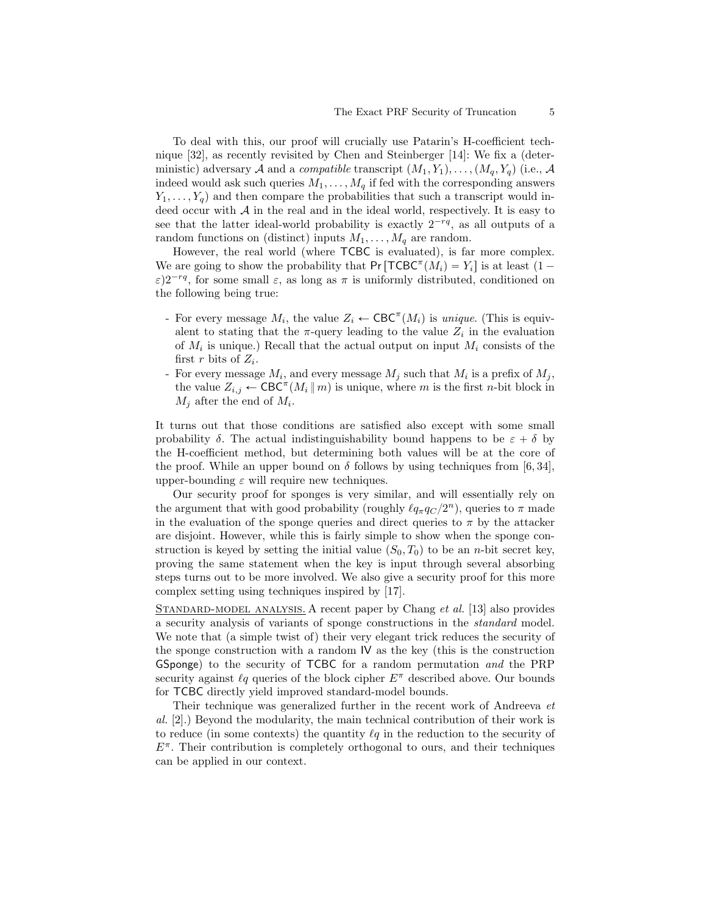To deal with this, our proof will crucially use Patarin's H-coefficient technique [32], as recently revisited by Chen and Steinberger [14]: We fix a (deterministic) adversary A and a *compatible* transcript  $(M_1, Y_1), \ldots, (M_q, Y_q)$  (i.e., A indeed would ask such queries  $M_1, \ldots, M_q$  if fed with the corresponding answers  $Y_1, \ldots, Y_q$  and then compare the probabilities that such a transcript would indeed occur with  $A$  in the real and in the ideal world, respectively. It is easy to see that the latter ideal-world probability is exactly  $2^{-rq}$ , as all outputs of a random functions on (distinct) inputs  $M_1, \ldots, M_q$  are random.

However, the real world (where TCBC is evaluated), is far more complex. We are going to show the probability that  $Pr[\text{TCBC}^{\pi}(M_i) = Y_i]$  is at least  $(1 \varepsilon$ ) $2^{-rq}$ , for some small  $\varepsilon$ , as long as  $\pi$  is uniformly distributed, conditioned on the following being true:

- For every message  $M_i$ , the value  $Z_i \leftarrow \text{CBC}^{\pi}(M_i)$  is unique. (This is equivalent to stating that the  $\pi$ -query leading to the value  $Z_i$  in the evaluation of  $M_i$  is unique.) Recall that the actual output on input  $M_i$  consists of the first r bits of  $Z_i$ .
- For every message  $M_i$ , and every message  $M_j$  such that  $M_i$  is a prefix of  $M_j$ , the value  $Z_{i,j} \leftarrow \text{CBC}^{\pi}(M_i \parallel m)$  is unique, where m is the first n-bit block in  $M_j$  after the end of  $M_i$ .

It turns out that those conditions are satisfied also except with some small probability  $\delta$ . The actual indistinguishability bound happens to be  $\varepsilon + \delta$  by the H-coefficient method, but determining both values will be at the core of the proof. While an upper bound on  $\delta$  follows by using techniques from [6, 34], upper-bounding  $\varepsilon$  will require new techniques.

Our security proof for sponges is very similar, and will essentially rely on the argument that with good probability (roughly  $\ell q_{\pi} q_{C} / 2^{n}$ ), queries to  $\pi$  made in the evaluation of the sponge queries and direct queries to  $\pi$  by the attacker are disjoint. However, while this is fairly simple to show when the sponge construction is keyed by setting the initial value  $(S_0, T_0)$  to be an n-bit secret key, proving the same statement when the key is input through several absorbing steps turns out to be more involved. We also give a security proof for this more complex setting using techniques inspired by [17].

STANDARD-MODEL ANALYSIS. A recent paper by Chang et al. [13] also provides a security analysis of variants of sponge constructions in the standard model. We note that (a simple twist of) their very elegant trick reduces the security of the sponge construction with a random IV as the key (this is the construction GSponge) to the security of TCBC for a random permutation and the PRP security against  $\ell q$  queries of the block cipher  $E^{\pi}$  described above. Our bounds for TCBC directly yield improved standard-model bounds.

Their technique was generalized further in the recent work of Andreeva et al. [2].) Beyond the modularity, the main technical contribution of their work is to reduce (in some contexts) the quantity  $\ell q$  in the reduction to the security of  $E^{\pi}$ . Their contribution is completely orthogonal to ours, and their techniques can be applied in our context.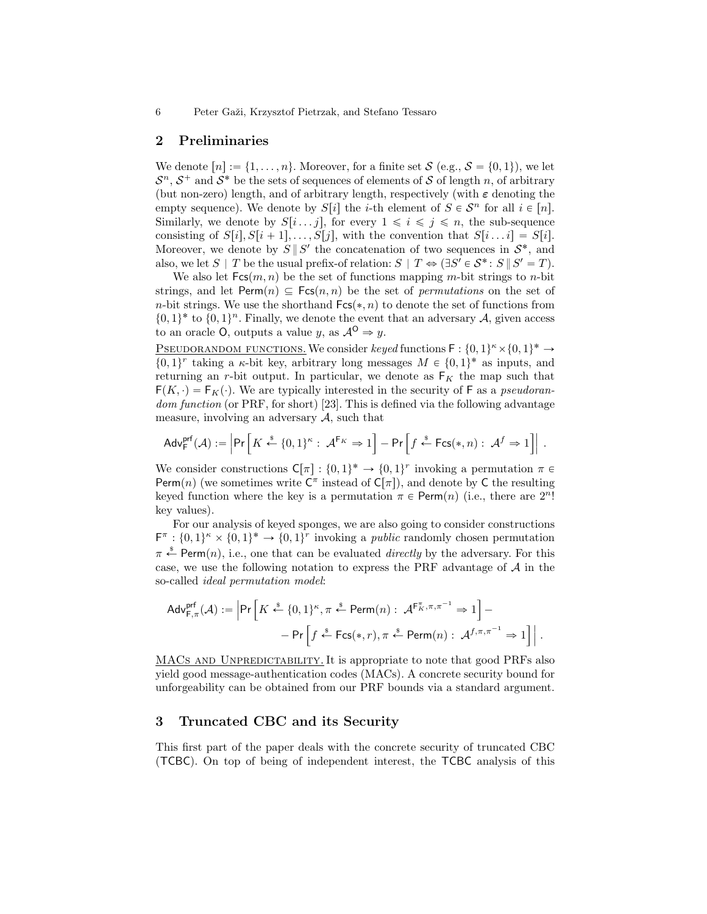## 2 Preliminaries

We denote  $[n] := \{1, \ldots, n\}$ . Moreover, for a finite set  $S$  (e.g.,  $S = \{0, 1\}$ ), we let  $S<sup>n</sup>$ ,  $S<sup>+</sup>$  and  $S<sup>*</sup>$  be the sets of sequences of elements of S of length n, of arbitrary (but non-zero) length, and of arbitrary length, respectively (with  $\varepsilon$  denoting the empty sequence). We denote by  $S[i]$  the *i*-th element of  $S \in \mathcal{S}^n$  for all  $i \in [n]$ . Similarly, we denote by  $S[i...j]$ , for every  $1 \leq i \leq j \leq n$ , the sub-sequence consisting of  $S[i], S[i+1], \ldots, S[j],$  with the convention that  $S[i \ldots i] = S[i].$ Moreover, we denote by  $S \parallel S'$  the concatenation of two sequences in  $S^*$ , and also, we let  $S \mid T$  be the usual prefix-of relation:  $S \mid T \Leftrightarrow (\exists S' \in S^* : S \mid S' = T)$ .

We also let  $Fcs(m, n)$  be the set of functions mapping m-bit strings to n-bit strings, and let  $\text{Perm}(n) \subseteq \text{Fcs}(n, n)$  be the set of *permutations* on the set of n-bit strings. We use the shorthand  $Fcs(*, n)$  to denote the set of functions from  $\{0,1\}^*$  to  $\{0,1\}^n$ . Finally, we denote the event that an adversary A, given access to an oracle O, outputs a value y, as  $\mathcal{A}^{\mathsf{O}} \Rightarrow y$ .

PSEUDORANDOM FUNCTIONS. We consider keyed functions  $F: \{0,1\}^k \times \{0,1\}^* \rightarrow$  $\{0,1\}^r$  taking a  $\kappa$ -bit key, arbitrary long messages  $M \in \{0,1\}^*$  as inputs, and returning an r-bit output. In particular, we denote as  $F_K$  the map such that  $F(K, \cdot) = F_K(\cdot)$ . We are typically interested in the security of F as a pseudorandom function (or PRF, for short) [23]. This is defined via the following advantage measure, involving an adversary  $A$ , such that

$$
\mathsf{Adv}^{\mathsf{prf}}_{\mathsf{F}}(\mathcal{A}) := \left| \mathsf{Pr}\left[K \xleftarrow{\$} \{0,1\}^{\kappa} : \ \mathcal{A}^{\mathsf{F}_{K}} \Rightarrow 1 \right] - \mathsf{Pr}\left[f \xleftarrow{\$} \mathsf{Fcs}(*, n) : \ \mathcal{A}^{f} \Rightarrow 1 \right] \right| \ .
$$

We consider constructions  $C[\pi] : \{0,1\}^* \to \{0,1\}^r$  invoking a permutation  $\pi \in$ Perm $(n)$  (we sometimes write  $C^{\pi}$  instead of  $C[\pi]$ ), and denote by C the resulting keyed function where the key is a permutation  $\pi \in \text{Perm}(n)$  (i.e., there are  $2^n!$ key values).

For our analysis of keyed sponges, we are also going to consider constructions  $\mathsf{F}^{\pi} : \{0,1\}^{\kappa} \times \{0,1\}^{\kappa} \to \{0,1\}^r$  invoking a *public* randomly chosen permutation  $\pi \stackrel{\text{*}}{\leftarrow}$  Perm $(n)$ , i.e., one that can be evaluated *directly* by the adversary. For this case, we use the following notation to express the PRF advantage of  $A$  in the so-called ideal permutation model:

$$
Adv_{\mathsf{F},\pi}^{\mathsf{prf}}(\mathcal{A}) := \left| \Pr \left[ K \xleftarrow{\$} \{0,1\}^{\kappa}, \pi \xleftarrow{\$} \mathsf{Perm}(n) : \ \mathcal{A}^{\mathsf{F}_K^{\pi}, \pi, \pi^{-1}} \Rightarrow 1 \right] - \right. \\ \left. - \Pr \left[ f \xleftarrow{\$} \mathsf{Fcs}(*,r), \pi \xleftarrow{\$} \mathsf{Perm}(n) : \ \mathcal{A}^{f, \pi, \pi^{-1}} \Rightarrow 1 \right] \right|.
$$

MACS AND UNPREDICTABILITY. It is appropriate to note that good PRFs also yield good message-authentication codes (MACs). A concrete security bound for unforgeability can be obtained from our PRF bounds via a standard argument.

## 3 Truncated CBC and its Security

This first part of the paper deals with the concrete security of truncated CBC (TCBC). On top of being of independent interest, the TCBC analysis of this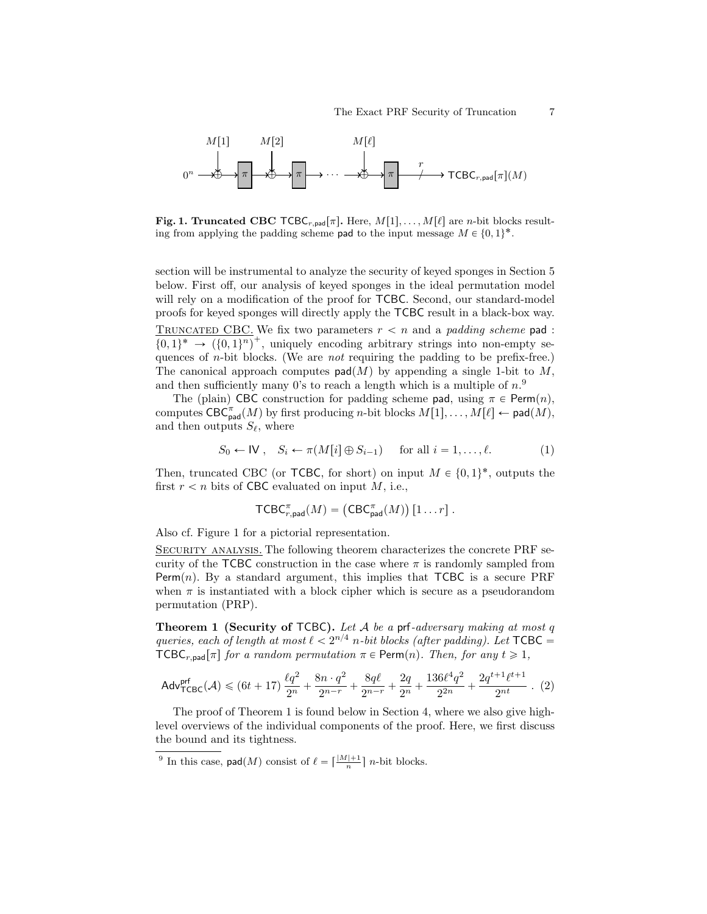

Fig. 1. Truncated CBC  $\textsf{TCBC}_{r,pad}[\pi]$ . Here,  $M[1], \ldots, M[\ell]$  are n-bit blocks resulting from applying the padding scheme pad to the input message  $M \in \{0, 1\}^*$ .

section will be instrumental to analyze the security of keyed sponges in Section 5 below. First off, our analysis of keyed sponges in the ideal permutation model will rely on a modification of the proof for TCBC. Second, our standard-model proofs for keyed sponges will directly apply the TCBC result in a black-box way. TRUNCATED CBC. We fix two parameters  $r < n$  and a *padding scheme* pad :  $\{0,1\}^* \rightarrow (\{0,1\}^n)^+$ , uniquely encoding arbitrary strings into non-empty sequences of n-bit blocks. (We are not requiring the padding to be prefix-free.) The canonical approach computes  $\text{pad}(M)$  by appending a single 1-bit to M, and then sufficiently many 0's to reach a length which is a multiple of  $n<sup>9</sup>$ 

The (plain) CBC construction for padding scheme pad, using  $\pi \in \text{Perm}(n)$ , computes  $\mathsf{CBC}^{\pi}_{\mathsf{pad}}(M)$  by first producing *n*-bit blocks  $M[1], \ldots, M[\ell] \leftarrow \mathsf{pad}(M)$ , and then outputs  $S_{\ell}$ , where

$$
S_0 \leftarrow \mathsf{IV} \,, \quad S_i \leftarrow \pi(M[i] \oplus S_{i-1}) \quad \text{for all } i = 1, \dots, \ell. \tag{1}
$$

Then, truncated CBC (or TCBC, for short) on input  $M \in \{0, 1\}^*$ , outputs the first  $r < n$  bits of CBC evaluated on input M, i.e.,

$$
\mathsf{TCBC}_{r,\mathsf{pad}}^{\pi}(M) = \left( \mathsf{CBC}_{\mathsf{pad}}^{\pi}(M) \right) [1 \dots r].
$$

Also cf. Figure 1 for a pictorial representation.

Security analysis. The following theorem characterizes the concrete PRF security of the TCBC construction in the case where  $\pi$  is randomly sampled from Perm $(n)$ . By a standard argument, this implies that TCBC is a secure PRF when  $\pi$  is instantiated with a block cipher which is secure as a pseudorandom permutation (PRP).

**Theorem 1 (Security of TCBC).** Let  $A$  be a prf-adversary making at most  $q$ queries, each of length at most  $\ell < 2^{n/4}$  n-bit blocks (after padding). Let  $\mathsf{TCBC} =$  $TCBC_{r,pad}[\pi]$  for a random permutation  $\pi \in \text{Perm}(n)$ . Then, for any  $t \geq 1$ ,

$$
\mathsf{Adv}^{\mathsf{prf}}_{\mathsf{TCBC}}(\mathcal{A}) \leqslant (6t+17)\,\frac{\ell q^2}{2^n} + \frac{8n\cdot q^2}{2^{n-r}} + \frac{8q\ell}{2^{n-r}} + \frac{2q}{2^n} + \frac{136\ell^4 q^2}{2^{2n}} + \frac{2q^{t+1}\ell^{t+1}}{2^{nt}}\ . \ \ (2)
$$

The proof of Theorem 1 is found below in Section 4, where we also give highlevel overviews of the individual components of the proof. Here, we first discuss the bound and its tightness.

<sup>9</sup> In this case,  $\mathsf{pad}(M)$  consist of  $\ell = \lceil \frac{|M|+1}{n} \rceil$  *n*-bit blocks.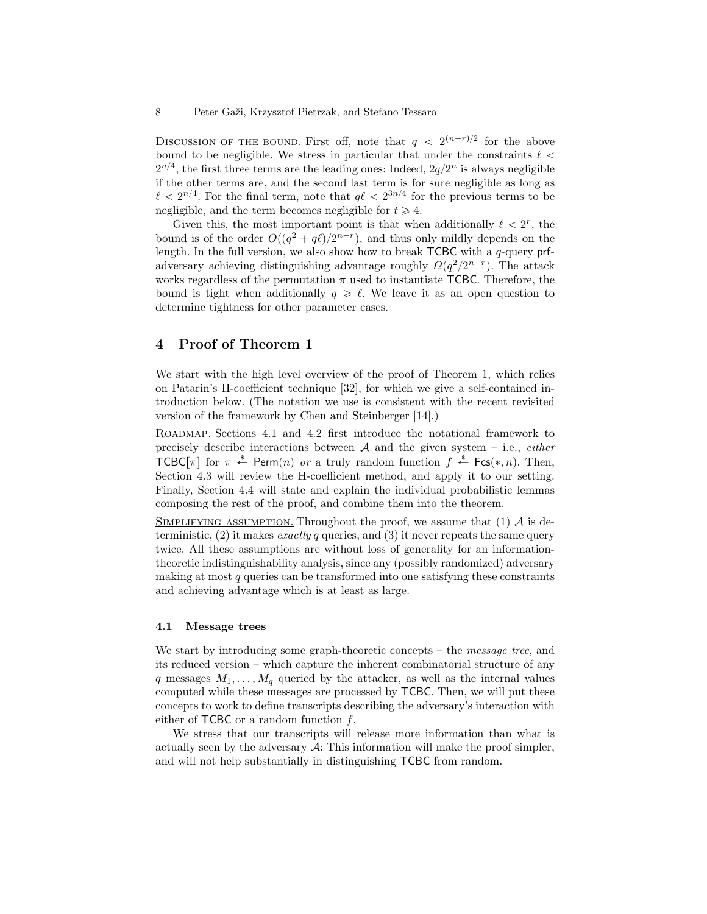DISCUSSION OF THE BOUND. First off, note that  $q < 2^{(n-r)/2}$  for the above bound to be negligible. We stress in particular that under the constraints  $\ell$  $2^{n/4}$ , the first three terms are the leading ones: Indeed,  $2q/2^n$  is always negligible if the other terms are, and the second last term is for sure negligible as long as  $\ell < 2^{n/4}$ . For the final term, note that  $q\ell < 2^{3n/4}$  for the previous terms to be negligible, and the term becomes negligible for  $t \geq 4$ .

Given this, the most important point is that when additionally  $\ell < 2^r$ , the bound is of the order  $O((q^2 + q\ell)/2^{n-r})$ , and thus only mildly depends on the length. In the full version, we also show how to break  $TCBC$  with a q-query prfadversary achieving distinguishing advantage roughly  $\Omega(q^2/2^{n-r})$ . The attack works regardless of the permutation  $\pi$  used to instantiate TCBC. Therefore, the bound is tight when additionally  $q \geq \ell$ . We leave it as an open question to determine tightness for other parameter cases.

### 4 Proof of Theorem 1

We start with the high level overview of the proof of Theorem 1, which relies on Patarin's H-coefficient technique [32], for which we give a self-contained introduction below. (The notation we use is consistent with the recent revisited version of the framework by Chen and Steinberger [14].)

Roadmap. Sections 4.1 and 4.2 first introduce the notational framework to precisely describe interactions between  $A$  and the given system – i.e., *either* TCBC[ $\pi$ ] for  $\pi \stackrel{\hspace{0.1em}\mathsf{\scriptscriptstyle\$}}{\leftarrow}$  Perm $(n)$  or a truly random function  $f \stackrel{\hspace{0.1em}\mathsf{\scriptscriptstyle\$}}{\leftarrow}$  Fcs(\*, n). Then, Section 4.3 will review the H-coefficient method, and apply it to our setting. Finally, Section 4.4 will state and explain the individual probabilistic lemmas composing the rest of the proof, and combine them into the theorem.

SIMPLIFYING ASSUMPTION. Throughout the proof, we assume that  $(1)$  A is deterministic,  $(2)$  it makes *exactly q* queries, and  $(3)$  it never repeats the same query twice. All these assumptions are without loss of generality for an informationtheoretic indistinguishability analysis, since any (possibly randomized) adversary making at most  $q$  queries can be transformed into one satisfying these constraints and achieving advantage which is at least as large.

#### 4.1 Message trees

We start by introducing some graph-theoretic concepts – the *message tree*, and its reduced version – which capture the inherent combinatorial structure of any q messages  $M_1, \ldots, M_q$  queried by the attacker, as well as the internal values computed while these messages are processed by TCBC. Then, we will put these concepts to work to define transcripts describing the adversary's interaction with either of  $TCBC$  or a random function  $f$ .

We stress that our transcripts will release more information than what is actually seen by the adversary  $\mathcal{A}$ : This information will make the proof simpler, and will not help substantially in distinguishing TCBC from random.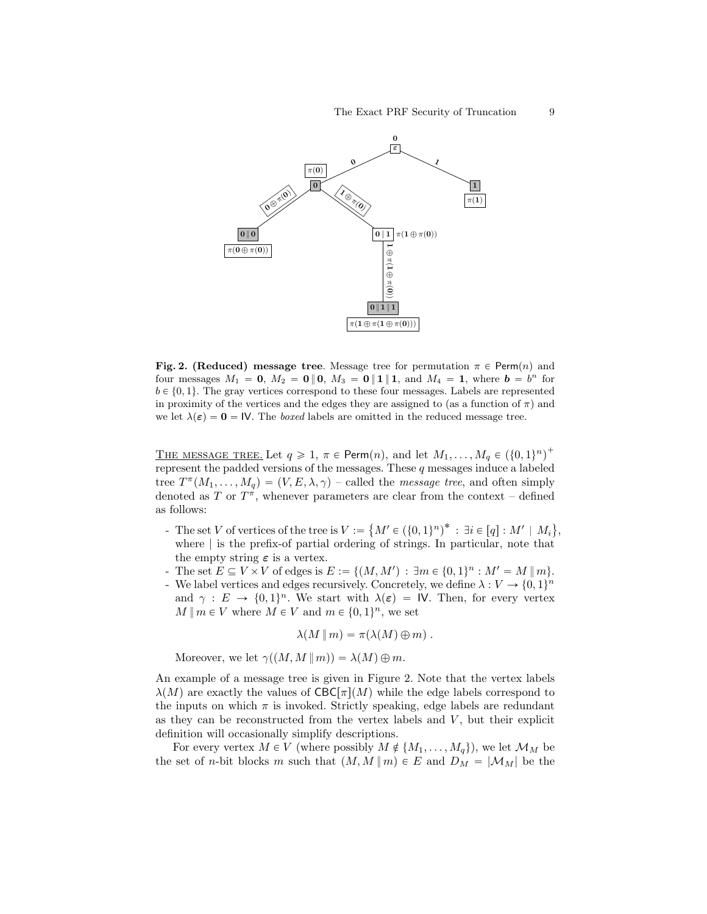

Fig. 2. (Reduced) message tree. Message tree for permutation  $\pi \in \text{Perm}(n)$  and four messages  $M_1 = 0$ ,  $M_2 = 0 \parallel 0$ ,  $M_3 = 0 \parallel 1 \parallel 1$ , and  $M_4 = 1$ , where  $b = b^n$  for  $b \in \{0, 1\}$ . The gray vertices correspond to these four messages. Labels are represented in proximity of the vertices and the edges they are assigned to (as a function of  $\pi$ ) and we let  $\lambda(\varepsilon) = 0 = \mathsf{IV}$ . The boxed labels are omitted in the reduced message tree.

THE MESSAGE TREE. Let  $q \geq 1$ ,  $\pi \in \text{Perm}(n)$ , and let  $M_1, \ldots, M_q \in (\{0, 1\}^n)^+$ represent the padded versions of the messages. These  $q$  messages induce a labeled tree  $T^{\pi}(M_1,\ldots,M_q) = (V, E, \lambda, \gamma)$  – called the *message tree*, and often simply denoted as T or  $T^{\pi}$ , whenever parameters are clear from the context – defined as follows:

- The set V of vertices of the tree is  $V :=$  $M' \in (\{0, 1\}^n)^* : \exists i \in [q] : M' \mid M_i$ , where | is the prefix-of partial ordering of strings. In particular, note that the empty string  $\varepsilon$  is a vertex.
- The set  $E \subseteq V \times V$  of edges is  $E := \{(M, M') : \exists m \in \{0, 1\}^n : M' = M \, \| \, m\}.$
- We label vertices and edges recursively. Concretely, we define  $\lambda: V \to \{0, 1\}^n$ and  $\gamma : E \to \{0, 1\}^n$ . We start with  $\lambda(\varepsilon) = \mathsf{IV}$ . Then, for every vertex  $M \parallel m \in V$  where  $M \in V$  and  $m \in \{0, 1\}^n$ , we set

$$
\lambda(M\,\|\,m)=\pi(\lambda(M)\oplus m)\ .
$$

Moreover, we let  $\gamma((M, M || m)) = \lambda(M) \oplus m$ .

An example of a message tree is given in Figure 2. Note that the vertex labels  $\lambda(M)$  are exactly the values of CBC $\lceil \pi \rceil(M)$  while the edge labels correspond to the inputs on which  $\pi$  is invoked. Strictly speaking, edge labels are redundant as they can be reconstructed from the vertex labels and  $V$ , but their explicit definition will occasionally simplify descriptions.

For every vertex  $M \in V$  (where possibly  $M \notin \{M_1, \ldots, M_q\}$ ), we let  $\mathcal{M}_M$  be the set of *n*-bit blocks m such that  $(M, M || m) \in E$  and  $D_M = |M_M|$  be the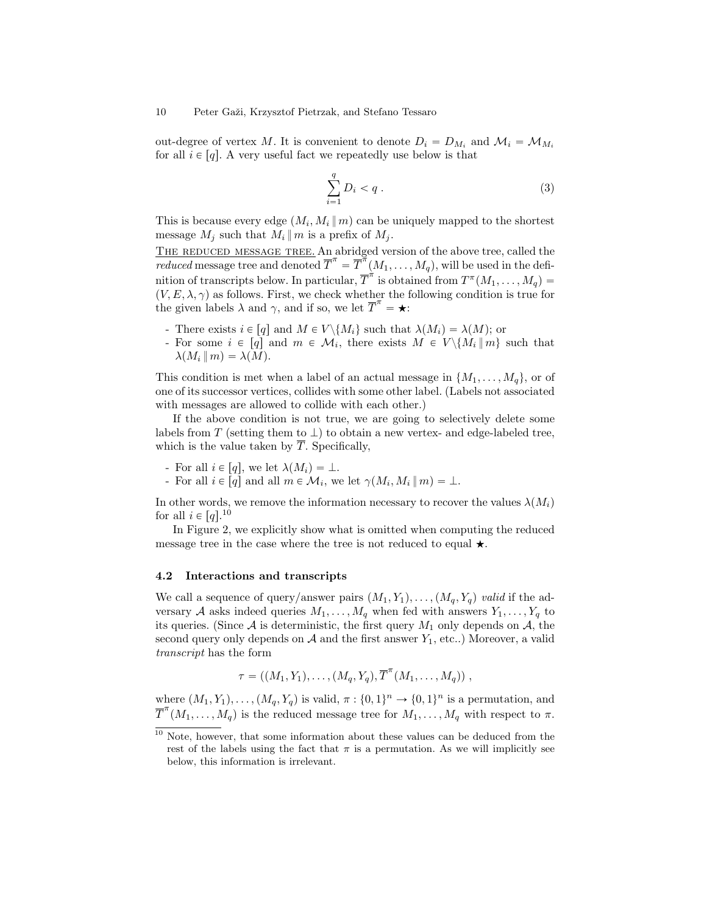out-degree of vertex M. It is convenient to denote  $D_i = D_{M_i}$  and  $\mathcal{M}_i = \mathcal{M}_{M_i}$ for all  $i \in [q]$ . A very useful fact we repeatedly use below is that

$$
\sum_{i=1}^{q} D_i < q \tag{3}
$$

This is because every edge  $(M_i, M_i || m)$  can be uniquely mapped to the shortest message  $M_i$  such that  $M_i || m$  is a prefix of  $M_i$ .

THE REDUCED MESSAGE TREE. An abridged version of the above tree, called the reduced message tree and denoted  $\overline{T}^{\pi} = \overline{T}^{\pi}(M_1, \ldots, M_q)$ , will be used in the definition of transcripts below. In particular,  $\overline{T}^{\pi}$  is obtained from  $T^{\pi}(M_1, \ldots, M_q) =$  $(V, E, \lambda, \gamma)$  as follows. First, we check whether the following condition is true for the given labels  $\lambda$  and  $\gamma$ , and if so, we let  $\overline{T}^{\pi} = \star$ :

- There exists  $i \in [q]$  and  $M \in V \setminus \{M_i\}$  such that  $\lambda(M_i) = \lambda(M)$ ; or
- For some  $i \in [q]$  and  $m \in \mathcal{M}_i$ , there exists  $M \in V \setminus \{M_i \mid m\}$  such that  $\lambda(M_i || m) = \lambda(M).$

This condition is met when a label of an actual message in  $\{M_1, \ldots, M_q\}$ , or of one of its successor vertices, collides with some other label. (Labels not associated with messages are allowed to collide with each other.)

If the above condition is not true, we are going to selectively delete some labels from T (setting them to  $\perp$ ) to obtain a new vertex- and edge-labeled tree, which is the value taken by  $\overline{T}$ . Specifically,

- For all  $i \in [q]$ , we let  $\lambda(M_i) = \bot$ .
- For all  $i \in [q]$  and all  $m \in \mathcal{M}_i$ , we let  $\gamma(M_i, M_i || m) = \bot$ .

In other words, we remove the information necessary to recover the values  $\lambda(M_i)$ for all  $i \in [q]$ .<sup>10</sup>

In Figure 2, we explicitly show what is omitted when computing the reduced message tree in the case where the tree is not reduced to equal  $\star$ .

#### 4.2 Interactions and transcripts

We call a sequence of query/answer pairs  $(M_1, Y_1), \ldots, (M_q, Y_q)$  valid if the adversary A asks indeed queries  $M_1, \ldots, M_q$  when fed with answers  $Y_1, \ldots, Y_q$  to its queries. (Since  $A$  is deterministic, the first query  $M_1$  only depends on  $A$ , the second query only depends on  $A$  and the first answer  $Y_1$ , etc..) Moreover, a valid transcript has the form

$$
\tau = ((M_1, Y_1), \ldots, (M_q, Y_q), \overline{T}^{\pi}(M_1, \ldots, M_q)),
$$

where  $(M_1, Y_1), \ldots, (M_q, Y_q)$  is valid,  $\pi : \{0, 1\}^n \to \{0, 1\}^n$  is a permutation, and  $\overline{T}^{\pi}(M_1, \ldots, M_q)$  is the reduced message tree for  $M_1, \ldots, M_q$  with respect to  $\pi$ .

<sup>&</sup>lt;sup>10</sup> Note, however, that some information about these values can be deduced from the rest of the labels using the fact that  $\pi$  is a permutation. As we will implicitly see below, this information is irrelevant.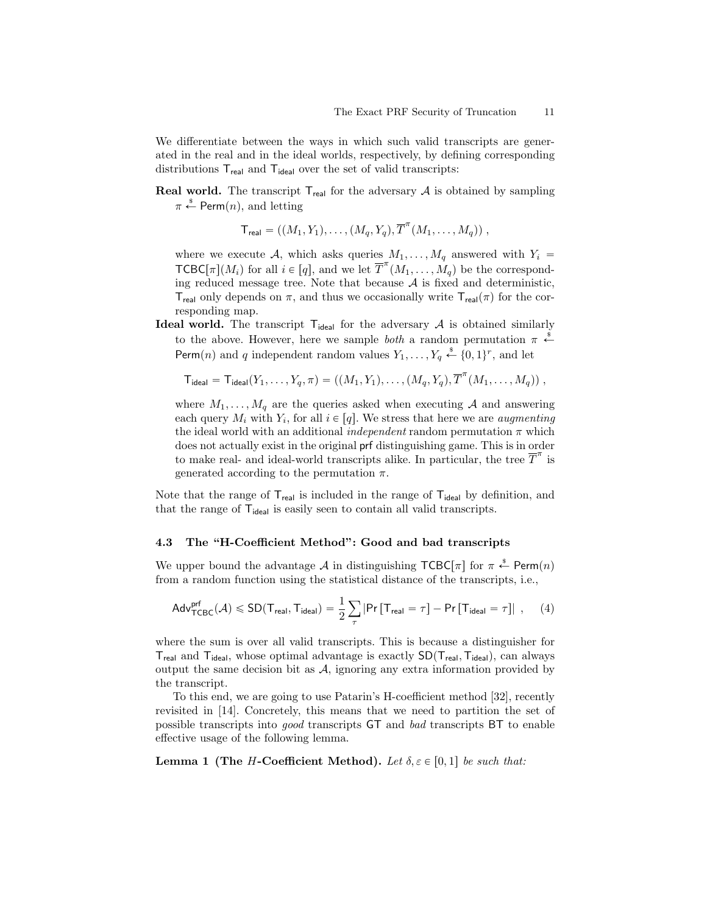We differentiate between the ways in which such valid transcripts are generated in the real and in the ideal worlds, respectively, by defining corresponding distributions  $T_{\text{real}}$  and  $T_{\text{ideal}}$  over the set of valid transcripts:

**Real world.** The transcript  $T_{\text{real}}$  for the adversary  $A$  is obtained by sampling  $\pi \overset{\hspace{0.1em}\mathsf{\scriptscriptstyle\$}}{\leftarrow}$  Perm $(n),$  and letting

$$
\mathsf{T}_{\mathsf{real}} = ((M_1, Y_1), \dots, (M_q, Y_q), \overline{T}^\pi(M_1, \dots, M_q)),
$$

where we execute A, which asks queries  $M_1, \ldots, M_q$  answered with  $Y_i =$  $\mathsf{TCBC}[\pi](M_i)$  for all  $i \in [q]$ , and we let  $\overline{T}^{\pi}(M_1, \ldots, M_q)$  be the corresponding reduced message tree. Note that because  $A$  is fixed and deterministic, T<sub>real</sub> only depends on  $\pi$ , and thus we occasionally write  $T_{real}(\pi)$  for the corresponding map.

**Ideal world.** The transcript  $T_{ideal}$  for the adversary A is obtained similarly to the above. However, here we sample *both* a random permutation  $\pi \stackrel{\$}{\leftarrow}$ Perm $(n)$  and q independent random values  $Y_1, \ldots, Y_q \stackrel{\text{d}}{\leftarrow} \{0, 1\}^r$ , and let

$$
\mathsf{T}_{\mathsf{ideal}} = \mathsf{T}_{\mathsf{ideal}}(Y_1, \ldots, Y_q, \pi) = ((M_1, Y_1), \ldots, (M_q, Y_q), \overline{T}^\pi(M_1, \ldots, M_q)) \ ,
$$

where  $M_1, \ldots, M_q$  are the queries asked when executing A and answering each query  $M_i$  with  $Y_i$ , for all  $i \in [q]$ . We stress that here we are *augmenting* the ideal world with an additional *independent* random permutation  $\pi$  which does not actually exist in the original prf distinguishing game. This is in order to make real- and ideal-world transcripts alike. In particular, the tree  $\overline{T}^{\pi}$  is generated according to the permutation  $\pi$ .

Note that the range of  $T_{\text{real}}$  is included in the range of  $T_{\text{ideal}}$  by definition, and that the range of  $T_{ideal}$  is easily seen to contain all valid transcripts.

#### 4.3 The "H-Coefficient Method": Good and bad transcripts

We upper bound the advantage  $\mathcal A$  in distinguishing TCBC[ $\pi$ ] for  $\pi \stackrel{\hspace{0.1em}\mathsf{\scriptscriptstyle\$}}{\leftarrow}$  Perm $(n)$ from a random function using the statistical distance of the transcripts, i.e.,

$$
\mathsf{Adv}^{\mathsf{prf}}_{\mathsf{TCBC}}(\mathcal{A}) \leqslant \mathsf{SD}(\mathsf{T_{\mathsf{real}}},\mathsf{T_{\mathsf{ideal}}}) = \frac{1}{2}\sum_{\tau} \left|\mathsf{Pr}\left[\mathsf{T_{\mathsf{real}}} = \tau\right] - \mathsf{Pr}\left[\mathsf{T_{\mathsf{ideal}}} = \tau\right]\right|\ ,\quad \ (4)
$$

where the sum is over all valid transcripts. This is because a distinguisher for  $T_{\text{real}}$  and  $T_{\text{ideal}}$ , whose optimal advantage is exactly  $SD(T_{\text{real}}, T_{\text{ideal}})$ , can always output the same decision bit as  $A$ , ignoring any extra information provided by the transcript.

To this end, we are going to use Patarin's H-coefficient method [32], recently revisited in [14]. Concretely, this means that we need to partition the set of possible transcripts into good transcripts GT and bad transcripts BT to enable effective usage of the following lemma.

**Lemma 1 (The H-Coefficient Method).** Let  $\delta, \varepsilon \in [0, 1]$  be such that: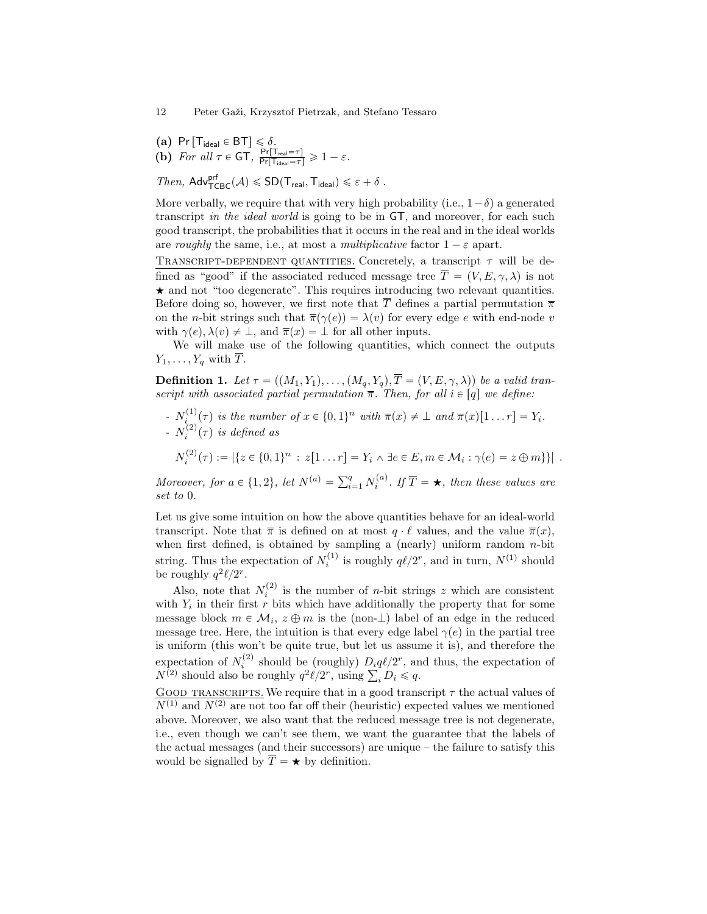- (a) Pr  $[T_{ideal} \in BT] \leq \delta$ .
- (b) For all  $\tau \in GT$ ,  $\frac{\Pr[T_{\text{real}} = \tau]}{\Pr[T_{\text{ideal}} = \tau]} \geq 1 \varepsilon$ .

Then,  $\mathsf{Adv}^{\mathsf{prf}}_{\mathsf{TCBC}}(\mathcal{A}) \leqslant SD(\mathsf{T_{\mathsf{real}}},\mathsf{T_{\mathsf{ideal}}}) \leqslant \varepsilon + \delta$ .

More verbally, we require that with very high probability (i.e.,  $1-\delta$ ) a generated transcript in the ideal world is going to be in GT, and moreover, for each such good transcript, the probabilities that it occurs in the real and in the ideal worlds are roughly the same, i.e., at most a multiplicative factor  $1 - \varepsilon$  apart.

TRANSCRIPT-DEPENDENT QUANTITIES. Concretely, a transcript  $\tau$  will be defined as "good" if the associated reduced message tree  $\overline{T} = (V, E, \gamma, \lambda)$  is not  $\star$  and not "too degenerate". This requires introducing two relevant quantities. Before doing so, however, we first note that  $\overline{T}$  defines a partial permutation  $\overline{\pi}$ on the *n*-bit strings such that  $\overline{\pi}(\gamma(e)) = \lambda(v)$  for every edge e with end-node v with  $\gamma(e), \lambda(v) \neq \bot$ , and  $\overline{\pi}(x) = \bot$  for all other inputs.

We will make use of the following quantities, which connect the outputs  $Y_1, \ldots, Y_q$  with  $\overline{T}$ .

**Definition 1.** Let  $\tau = ((M_1, Y_1), \ldots, (M_q, Y_q), \overline{T} = (V, E, \gamma, \lambda))$  be a valid transcript with associated partial permutation  $\bar{\pi}$ . Then, for all  $i \in [q]$  we define:

 $N_i^{(1)}(\tau)$  is the number of  $x \in \{0, 1\}^n$  with  $\overline{\pi}(x) \neq \bot$  and  $\overline{\pi}(x)[1 \dots r] = Y_i$ . -  $N_i^{(2)}(\tau)$  is defined as

 $N_i^{(2)}(\tau) := |\{z \in \{0,1\}^n : z[1 \dots r] = Y_i \land \exists e \in E, m \in \mathcal{M}_i : \gamma(e) = z \oplus m\}\}|.$ 

Moreover, for  $a \in \{1, 2\}$ , let  $N^{(a)} = \sum_{i=1}^{q}$  $_{i=1}^{q} N_i^{(a)}$ . If  $\overline{T} = \bigstar$ , then these values are set to 0.

Let us give some intuition on how the above quantities behave for an ideal-world transcript. Note that  $\bar{\pi}$  is defined on at most  $q \cdot \ell$  values, and the value  $\bar{\pi}(x)$ , when first defined, is obtained by sampling a (nearly) uniform random  $n$ -bit string. Thus the expectation of  $N_i^{(1)}$  is roughly  $q\ell/2^r$ , and in turn,  $N^{(1)}$  should be roughly  $q^2\ell/2^r$ .

Also, note that  $N_i^{(2)}$  is the number of *n*-bit strings z which are consistent with  $Y_i$  in their first r bits which have additionally the property that for some message block  $m \in \mathcal{M}_i$ ,  $z \oplus m$  is the (non- $\perp$ ) label of an edge in the reduced message tree. Here, the intuition is that every edge label  $\gamma(e)$  in the partial tree is uniform (this won't be quite true, but let us assume it is), and therefore the expectation of  $N_i^{(2)}$  should be (roughly)  $D_i q \ell / 2^r$ , and thus, the expectation of expectation of  $N_i^{2}$  should be (roughly)  $D_i q \ell / 2$ , and  $N^{(2)}$  should also be roughly  $q^2 \ell / 2^r$ , using  $\sum_i D_i \leq q$ .

GOOD TRANSCRIPTS. We require that in a good transcript  $\tau$  the actual values of  $\overline{N^{(1)}$  and  $N^{(2)}$  are not too far off their (heuristic) expected values we mentioned above. Moreover, we also want that the reduced message tree is not degenerate, i.e., even though we can't see them, we want the guarantee that the labels of the actual messages (and their successors) are unique – the failure to satisfy this would be signalled by  $\overline{T} = \star$  by definition.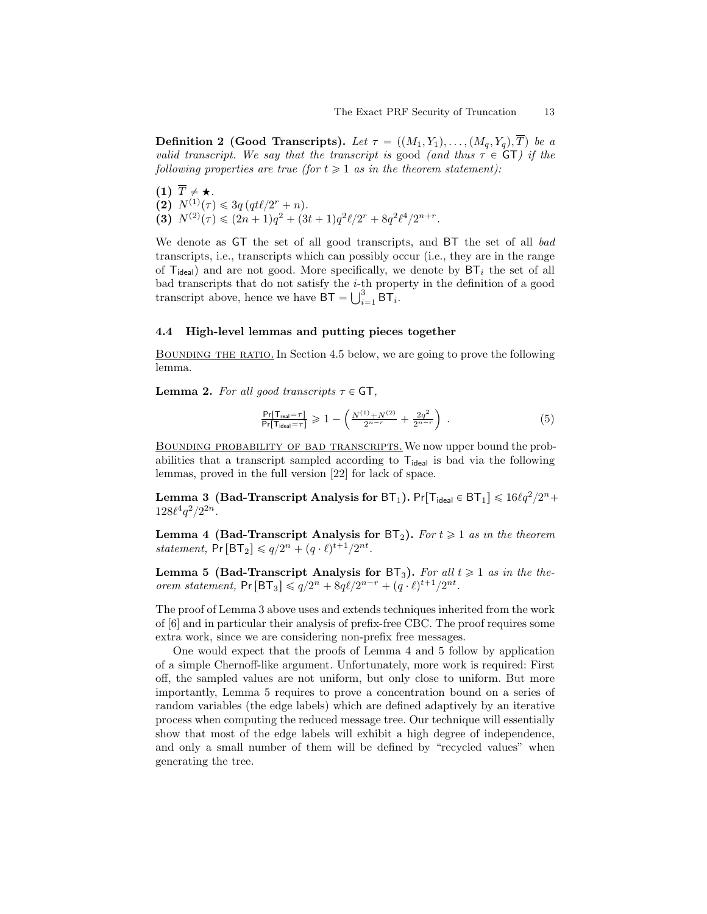**Definition 2 (Good Transcripts).** Let  $\tau = ((M_1, Y_1), \ldots, (M_q, Y_q), T)$  be a valid transcript. We say that the transcript is good (and thus  $\tau \in \mathsf{GT}$ ) if the following properties are true (for  $t \geq 1$  as in the theorem statement):

 $(1)$   $\overline{T} \neq \bigstar$ . (2)  $N^{(1)}(\tau) \leq 3q (qt\ell/2^r + n).$ (3)  $N^{(2)}(\tau) \leq (2n+1)q^2 + (3t+1)q^2\ell/2^r + 8q^2\ell^4/2^{n+r}.$ 

We denote as GT the set of all good transcripts, and BT the set of all bad transcripts, i.e., transcripts which can possibly occur (i.e., they are in the range of  $T_{ideal}$ ) and are not good. More specifically, we denote by  $BT_i$  the set of all bad transcripts that do not satisfy the *i*-th property in the definition of a good transcript above hence  $\overline{PT}$   $\overline{LT}$   $\overline{PT}$ transcript above, hence we have  $BT = \bigcup_{i=1}^{3} BT_i$ .

#### 4.4 High-level lemmas and putting pieces together

BOUNDING THE RATIO. In Section 4.5 below, we are going to prove the following lemma.

**Lemma 2.** For all good transcripts  $\tau \in \mathsf{GT}$ ,

$$
\frac{\Pr[T_{\text{real}}=\tau]}{\Pr[T_{\text{ideal}}=\tau]} \geq 1 - \left(\frac{N^{(1)} + N^{(2)}}{2^{n-r}} + \frac{2q^2}{2^{n-r}}\right) \,. \tag{5}
$$

Bounding probability of bad transcripts.We now upper bound the probabilities that a transcript sampled according to  $T_{ideal}$  is bad via the following lemmas, proved in the full version [22] for lack of space.

Lemma 3 (Bad-Transcript Analysis for BT<sub>1</sub>).  $\mathsf{Pr}[\mathsf{T}_{\mathsf{ideal}}\in \mathsf{BT}_1] \leqslant 16\ell q^2/2^n + 1$  $128\ell^4q^2/2^{2n}$ .

Lemma 4 (Bad-Transcript Analysis for  $BT_2$ ). For  $t \geq 1$  as in the theorem statement,  $Pr[BT_2] \leq q/2^n + (q \cdot \ell)^{t+1}/2^{nt}$ .

Lemma 5 (Bad-Transcript Analysis for  $BT_3$ ). For all  $t \geq 1$  as in the theorem statement,  $Pr[BT_3] \leq q/2^n + 8q\ell/2^{n-r} + (q \cdot \ell)^{t+1}/2^{nt}$ .

The proof of Lemma 3 above uses and extends techniques inherited from the work of [6] and in particular their analysis of prefix-free CBC. The proof requires some extra work, since we are considering non-prefix free messages.

One would expect that the proofs of Lemma 4 and 5 follow by application of a simple Chernoff-like argument. Unfortunately, more work is required: First off, the sampled values are not uniform, but only close to uniform. But more importantly, Lemma 5 requires to prove a concentration bound on a series of random variables (the edge labels) which are defined adaptively by an iterative process when computing the reduced message tree. Our technique will essentially show that most of the edge labels will exhibit a high degree of independence, and only a small number of them will be defined by "recycled values" when generating the tree.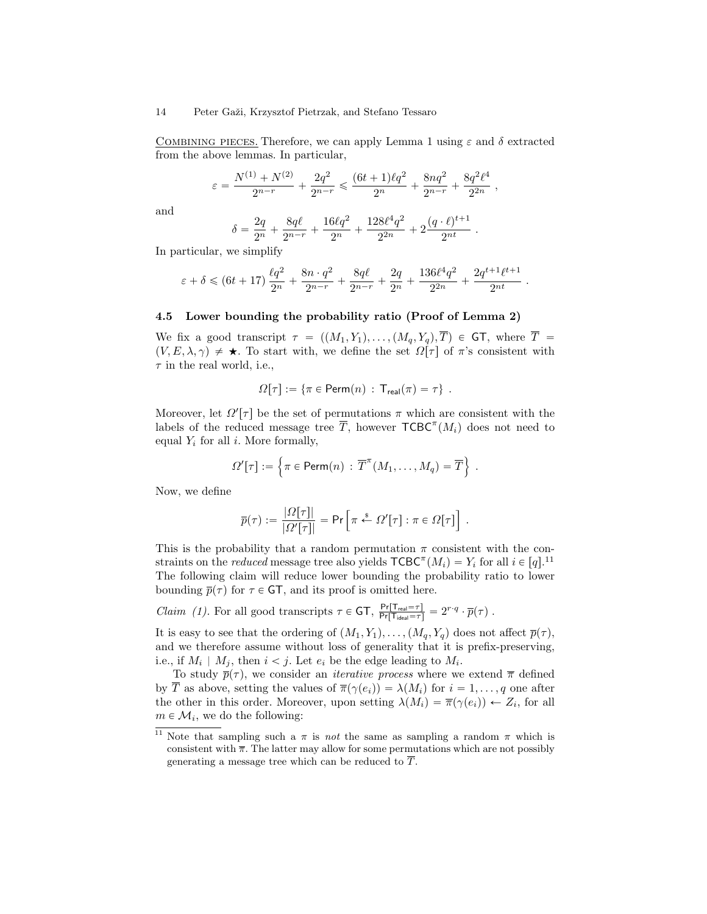COMBINING PIECES. Therefore, we can apply Lemma 1 using  $\varepsilon$  and  $\delta$  extracted from the above lemmas. In particular,

$$
\varepsilon = \frac{N^{(1)} + N^{(2)}}{2^{n-r}} + \frac{2q^2}{2^{n-r}} \leq \frac{(6t+1)\ell q^2}{2^n} + \frac{8nq^2}{2^{n-r}} + \frac{8q^2\ell^4}{2^{2n}},
$$

and

$$
\delta = \frac{2q}{2^n} + \frac{8q\ell}{2^{n-r}} + \frac{16\ell q^2}{2^n} + \frac{128\ell^4 q^2}{2^{2n}} + 2\frac{(q \cdot \ell)^{t+1}}{2^{nt}}.
$$

In particular, we simplify

$$
\varepsilon + \delta \leq (6t + 17) \frac{\ell q^2}{2^n} + \frac{8n \cdot q^2}{2^{n-r}} + \frac{8q\ell}{2^{n-r}} + \frac{2q}{2^n} + \frac{136\ell^4 q^2}{2^{2n}} + \frac{2q^{t+1}\ell^{t+1}}{2^{nt}}.
$$

#### 4.5 Lower bounding the probability ratio (Proof of Lemma 2)

We fix a good transcript  $\tau = ((M_1, Y_1), \ldots, (M_q, Y_q), \overline{T}) \in \mathsf{GT}$ , where  $\overline{T}$  =  $(V, E, \lambda, \gamma) \neq \star$ . To start with, we define the set  $\Omega[\tau]$  of  $\pi$ 's consistent with  $\tau$  in the real world, i.e.,

$$
\Omega[\tau] := \{ \pi \in \text{Perm}(n) : T_{\text{real}}(\pi) = \tau \} .
$$

Moreover, let  $\Omega'[\tau]$  be the set of permutations  $\pi$  which are consistent with the labels of the reduced message tree  $\overline{T}$ , however  $\mathsf{TCBC}^{\pi}(M_i)$  does not need to equal  $Y_i$  for all i. More formally,

$$
\Omega'[\tau] := \left\{ \pi \in \text{Perm}(n) : \overline{T}^{\pi}(M_1, \ldots, M_q) = \overline{T} \right\} .
$$

Now, we define

$$
\overline{p}(\tau) := \frac{|\Omega[\tau]|}{|\Omega'[\tau]|} = \Pr\left[\pi \stackrel{s}{\leftarrow} \Omega'[\tau] : \pi \in \Omega[\tau]\right].
$$

This is the probability that a random permutation  $\pi$  consistent with the constraints on the *reduced* message tree also yields  $\mathsf{TCBC}^{\pi}(M_i) = Y_i$  for all  $i \in [q]$ .<sup>11</sup> The following claim will reduce lower bounding the probability ratio to lower bounding  $\bar{p}(\tau)$  for  $\tau \in \mathsf{GT},$  and its proof is omitted here.

Claim (1). For all good transcripts  $\tau \in GT$ ,  $\frac{\Pr[T_{\text{real}} = \tau]}{\Pr[T_{\text{ideal}} = \tau]} = 2^{r \cdot q} \cdot \bar{p}(\tau)$ .

It is easy to see that the ordering of  $(M_1, Y_1), \ldots, (M_q, Y_q)$  does not affect  $\overline{p}(\tau)$ , and we therefore assume without loss of generality that it is prefix-preserving, i.e., if  $M_i \mid M_j$ , then  $i < j$ . Let  $e_i$  be the edge leading to  $M_i$ .

To study  $\bar{p}(\tau)$ , we consider an *iterative process* where we extend  $\bar{\pi}$  defined by  $\overline{T}$  as above, setting the values of  $\overline{\pi}(\gamma(e_i)) = \lambda(M_i)$  for  $i = 1, \ldots, q$  one after the other in this order. Moreover, upon setting  $\lambda(M_i) = \overline{\pi}(\gamma(e_i)) \leftarrow Z_i$ , for all  $m \in \mathcal{M}_i$ , we do the following:

<sup>&</sup>lt;sup>11</sup> Note that sampling such a  $\pi$  is *not* the same as sampling a random  $\pi$  which is consistent with  $\bar{\pi}$ . The latter may allow for some permutations which are not possibly generating a message tree which can be reduced to  $\overline{T}$ .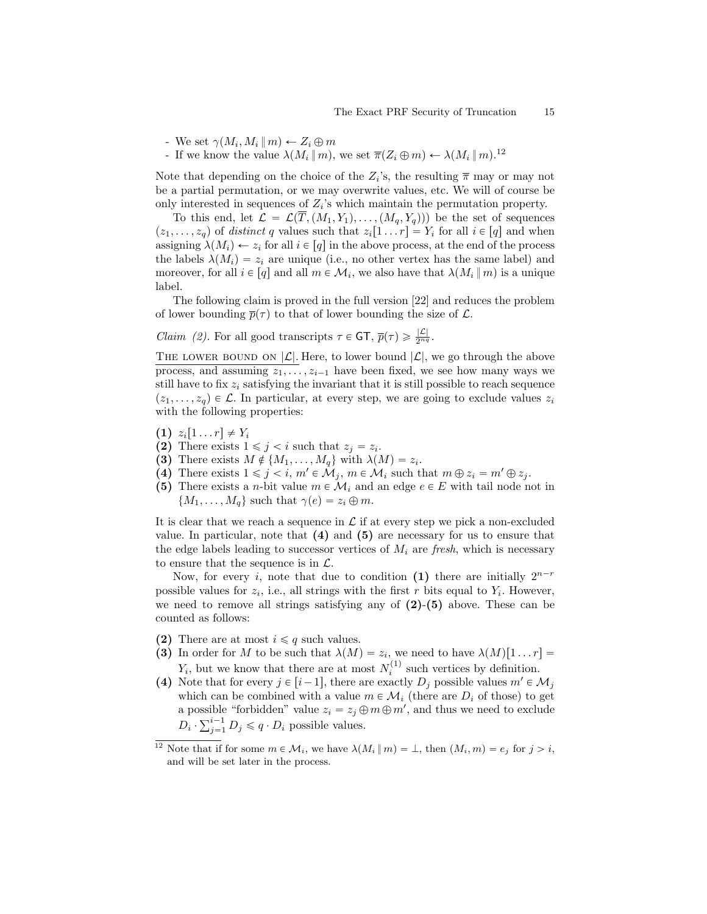- We set  $\gamma(M_i, M_i || m) \leftarrow Z_i \oplus m$
- If we know the value  $\lambda(M_i || m)$ , we set  $\overline{\pi}(Z_i \oplus m) \leftarrow \lambda(M_i || m).^{12}$

Note that depending on the choice of the  $Z_i$ 's, the resulting  $\bar{\pi}$  may or may not be a partial permutation, or we may overwrite values, etc. We will of course be only interested in sequences of  $Z_i$ 's which maintain the permutation property.

To this end, let  $\mathcal{L} = \mathcal{L}(\overline{T}, (M_1, Y_1), \ldots, (M_q, Y_q))$  be the set of sequences  $(z_1, \ldots, z_q)$  of distinct q values such that  $z_i[1 \ldots r] = Y_i$  for all  $i \in [q]$  and when assigning  $\lambda(M_i) \leftarrow z_i$  for all  $i \in [q]$  in the above process, at the end of the process the labels  $\lambda(M_i) = z_i$  are unique (i.e., no other vertex has the same label) and moreover, for all  $i \in [q]$  and all  $m \in \mathcal{M}_i$ , we also have that  $\lambda(M_i || m)$  is a unique label.

The following claim is proved in the full version [22] and reduces the problem of lower bounding  $\bar{p}(\tau)$  to that of lower bounding the size of  $\mathcal{L}$ .

*Claim (2)*. For all good transcripts  $\tau \in \mathsf{GT}, \overline{p}(\tau) \geq \frac{|\mathcal{L}|}{2^{n_q}}$ .

THE LOWER BOUND ON  $|\mathcal{L}|$ . Here, to lower bound  $|\mathcal{L}|$ , we go through the above process, and assuming  $z_1, \ldots, z_{i-1}$  have been fixed, we see how many ways we still have to fix  $z_i$  satisfying the invariant that it is still possible to reach sequence  $(z_1, \ldots, z_q) \in \mathcal{L}$ . In particular, at every step, we are going to exclude values  $z_i$ with the following properties:

- $(1)$   $z_i[1 \dots r] \neq Y_i$
- (2) There exists  $1 \leq j \leq i$  such that  $z_j = z_i$ .
- (3) There exists  $M \notin \{M_1, \ldots, M_q\}$  with  $\lambda(M) = z_i$ .
- (4) There exists  $1 \leq j \leq i$ ,  $m' \in \mathcal{M}_j$ ,  $m \in \mathcal{M}_i$  such that  $m \oplus z_i = m' \oplus z_j$ .
- (5) There exists a *n*-bit value  $m \in \mathcal{M}_i$  and an edge  $e \in E$  with tail node not in  $\{M_1, \ldots, M_q\}$  such that  $\gamma(e) = z_i \oplus m$ .

It is clear that we reach a sequence in  $\mathcal L$  if at every step we pick a non-excluded value. In particular, note that  $(4)$  and  $(5)$  are necessary for us to ensure that the edge labels leading to successor vertices of  $M_i$  are fresh, which is necessary to ensure that the sequence is in  $\mathcal{L}$ .

Now, for every i, note that due to condition (1) there are initially  $2^{n-r}$ possible values for  $z_i$ , i.e., all strings with the first r bits equal to  $Y_i$ . However, we need to remove all strings satisfying any of  $(2)-(5)$  above. These can be counted as follows:

- (2) There are at most  $i \leq q$  such values.
- (3) In order for M to be such that  $\lambda(M) = z_i$ , we need to have  $\lambda(M)[1 \dots r] =$  $Y_i$ , but we know that there are at most  $N_i^{(1)}$  such vertices by definition.
- (4) Note that for every  $j \in [i-1]$ , there are exactly  $D_j$  possible values  $m' \in \mathcal{M}_j$ which can be combined with a value  $m \in \mathcal{M}_i$  (there are  $D_i$  of those) to get a possible "forbidden" value  $z_i = z_j \oplus m \oplus m'$ , and thus we need to exclude a possible "forbidden" value  $z_i = z_j \, \oplus \, D_i \cdot \sum_{j=1}^{i-1} D_j \leq q \cdot D_i$  possible values.

<sup>&</sup>lt;sup>12</sup> Note that if for some  $m \in \mathcal{M}_i$ , we have  $\lambda(M_i || m) = \bot$ , then  $(M_i, m) = e_j$  for  $j > i$ , and will be set later in the process.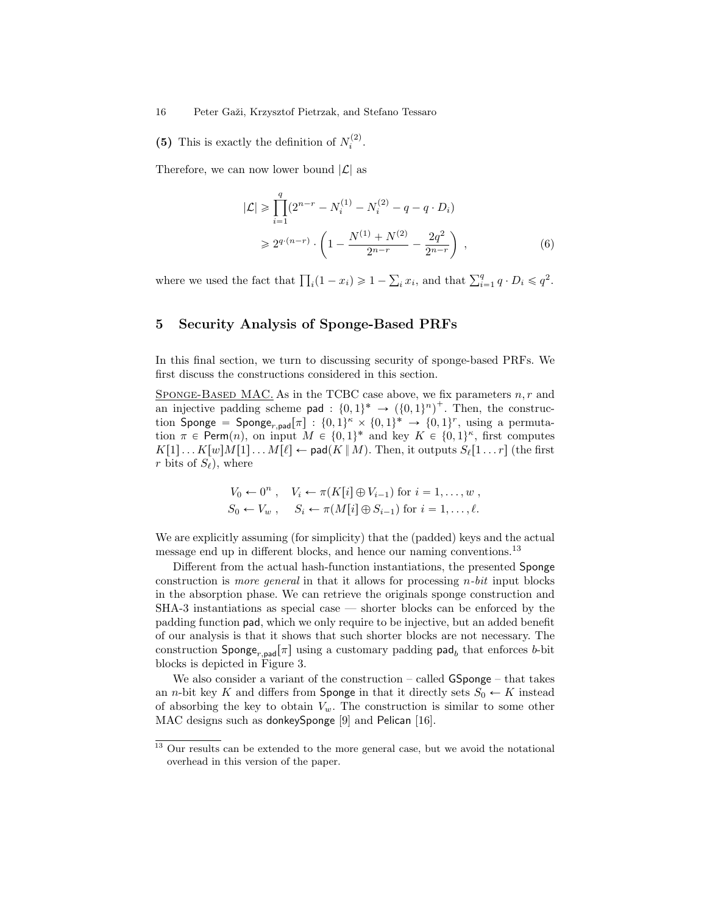(5) This is exactly the definition of  $N_i^{(2)}$ .

Therefore, we can now lower bound  $|\mathcal{L}|$  as

$$
|\mathcal{L}| \geq \prod_{i=1}^{q} (2^{n-r} - N_i^{(1)} - N_i^{(2)} - q - q \cdot D_i)
$$
  
\n
$$
\geq 2^{q \cdot (n-r)} \cdot \left(1 - \frac{N^{(1)} + N^{(2)}}{2^{n-r}} - \frac{2q^2}{2^{n-r}}\right) ,
$$
 (6)

where we used the fact that  $\prod_i (1 - x_i) \geq 1$  –  $_i x_i$ , and that  $\sum_{i=1}^q q \cdot D_i \leqslant q^2$ .

# 5 Security Analysis of Sponge-Based PRFs

In this final section, we turn to discussing security of sponge-based PRFs. We first discuss the constructions considered in this section.

SPONGE-BASED MAC. As in the TCBC case above, we fix parameters  $n, r$  and an injective padding scheme pad :  $\{0, 1\}^* \rightarrow (\{0, 1\}^n)^+$ . Then, the construction Sponge = Sponge<sub>r,pad</sub> $[\pi] : \{0,1\}^{\kappa} \times \{0,1\}^* \rightarrow \{0,1\}^r$ , using a permutation  $\pi \in \text{Perm}(n)$ , on input  $M \in \{0, 1\}^*$  and key  $K \in \{0, 1\}^{\kappa}$ , first computes  $K[1] \dots K[w]M[1] \dots M[\ell] \leftarrow \textsf{pad}(K | M)$ . Then, it outputs  $S_{\ell}[1 \dots r]$  (the first r bits of  $S_{\ell}$ ), where

$$
V_0 \leftarrow 0^n, \quad V_i \leftarrow \pi(K[i] \oplus V_{i-1}) \text{ for } i = 1, \dots, w,
$$
  
\n
$$
S_0 \leftarrow V_w, \quad S_i \leftarrow \pi(M[i] \oplus S_{i-1}) \text{ for } i = 1, \dots, \ell.
$$

We are explicitly assuming (for simplicity) that the (padded) keys and the actual message end up in different blocks, and hence our naming conventions.<sup>13</sup>

Different from the actual hash-function instantiations, the presented Sponge construction is *more general* in that it allows for processing  $n$ -bit input blocks in the absorption phase. We can retrieve the originals sponge construction and SHA-3 instantiations as special case — shorter blocks can be enforced by the padding function pad, which we only require to be injective, but an added benefit of our analysis is that it shows that such shorter blocks are not necessary. The construction  $\textsf{Sponge}_{r,\textsf{pad}}[\pi]$  using a customary padding  $\textsf{pad}_b$  that enforces b-bit blocks is depicted in Figure 3.

We also consider a variant of the construction – called GSponge – that takes an *n*-bit key K and differs from **Sponge** in that it directly sets  $S_0 \leftarrow K$  instead of absorbing the key to obtain  $V_w$ . The construction is similar to some other MAC designs such as donkeySponge [9] and Pelican [16].

<sup>&</sup>lt;sup>13</sup> Our results can be extended to the more general case, but we avoid the notational overhead in this version of the paper.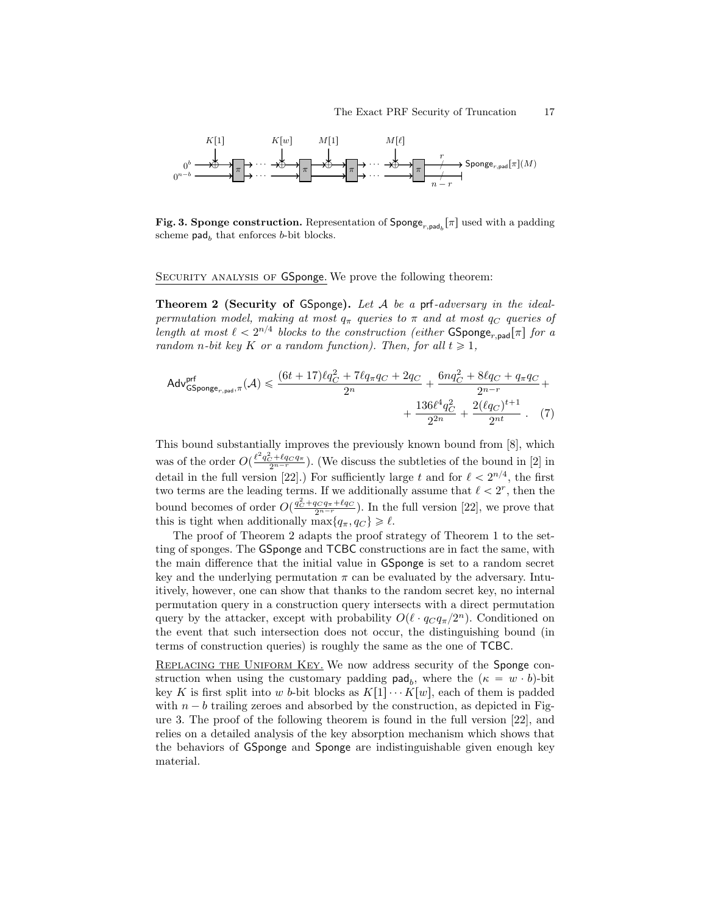

Fig. 3. Sponge construction. Representation of  $\mathsf{Sponge}_{r,pad_b}[\pi]$  used with a padding scheme  $\mathsf{pad}_b$  that enforces *b*-bit blocks.

SECURITY ANALYSIS OF GSponge. We prove the following theorem:

**Theorem 2 (Security of GSponge).** Let  $A$  be a prf-adversary in the idealpermutation model, making at most  $q_{\pi}$  queries to  $\pi$  and at most  $q_{C}$  queries of length at most  $\ell < 2^{n/4}$  blocks to the construction (either GSponge<sub>r,pad</sub> [ $\pi$ ] for a random n-bit key K or a random function). Then, for all  $t \geq 1$ ,

$$
\mathsf{Adv}_{\mathsf{GSponge}_{r,pad},\pi}^{\text{prf}}(\mathcal{A}) \leqslant \frac{(6t+17)\ell q_C^2 + 7\ell q_\pi q_C + 2q_C}{2^n} + \frac{6nq_C^2 + 8\ell q_C + q_\pi q_C}{2^{n-r}} + \\ + \frac{136\ell^4 q_C^2}{2^{2n}} + \frac{2(\ell q_C)^{t+1}}{2^{nt}} \ . \eqno(7)
$$

This bound substantially improves the previously known bound from [8], which was of the order  $O(\frac{\ell^2 q_C^2 + \ell q_C q_{\pi}}{2^{n-r}})$ . (We discuss the subtleties of the bound in [2] in detail in the full version [22].) For sufficiently large t and for  $\ell < 2^{n/4}$ , the first two terms are the leading terms. If we additionally assume that  $\ell < 2^r$ , then the bound becomes of order  $O(\frac{q_C^2 + q_C q_{\pi} + \ell q_C}{2^{n-r}})$ . In the full version [22], we prove that this is tight when additionally max ${q_{\pi}, q_C} \geq \ell$ .

The proof of Theorem 2 adapts the proof strategy of Theorem 1 to the setting of sponges. The GSponge and TCBC constructions are in fact the same, with the main difference that the initial value in GSponge is set to a random secret key and the underlying permutation  $\pi$  can be evaluated by the adversary. Intuitively, however, one can show that thanks to the random secret key, no internal permutation query in a construction query intersects with a direct permutation query by the attacker, except with probability  $O(\ell \cdot q_C q_\pi/2^n)$ . Conditioned on the event that such intersection does not occur, the distinguishing bound (in terms of construction queries) is roughly the same as the one of TCBC.

REPLACING THE UNIFORM KEY. We now address security of the Sponge construction when using the customary padding  $\mathsf{pad}_b$ , where the  $(\kappa = w \cdot b)$ -bit key K is first split into w b-bit blocks as  $K[1] \cdots K[w]$ , each of them is padded with  $n - b$  trailing zeroes and absorbed by the construction, as depicted in Figure 3. The proof of the following theorem is found in the full version [22], and relies on a detailed analysis of the key absorption mechanism which shows that the behaviors of GSponge and Sponge are indistinguishable given enough key material.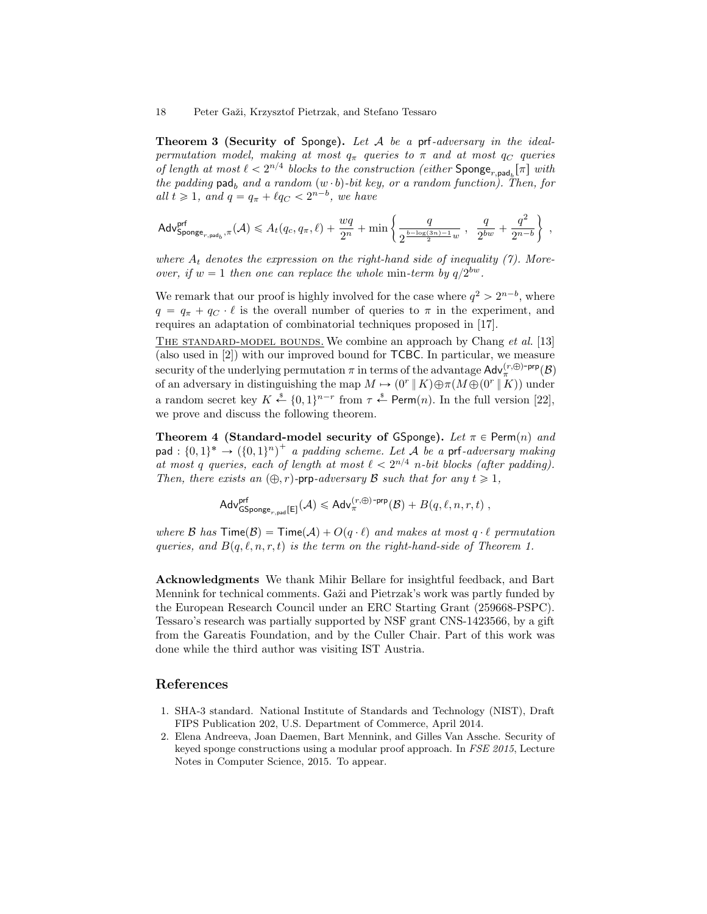**Theorem 3 (Security of Sponge).** Let  $A$  be a prf-adversary in the idealpermutation model, making at most  $q_{\pi}$  queries to  $\pi$  and at most  $q_{C}$  queries of length at most  $\ell < 2^{n/4}$  blocks to the construction (either Sponge<sub>r,pad<sub>b</sub>[ $\pi$ ] with</sub> the padding pad<sub>b</sub> and a random  $(w \cdot b)$ -bit key, or a random function). Then, for all  $t \geq 1$ , and  $q = q_{\pi} + \ell q_C < 2^{n-b}$ , we have

$$
\mathsf{Adv}_{\mathsf{Sponge}_{r,\mathsf{pad}_b},\pi}^{\mathsf{prf}}(\mathcal{A}) \leqslant A_t(q_c,q_\pi,\ell) + \frac{wq}{2^n} + \min\left\{\frac{q}{2^{\frac{b-\log(3n)-1}{2}w}} \ , \ \ \frac{q}{2^{bw}} + \frac{q^2}{2^{n-b}}\right\} \ ,
$$

where  $A_t$  denotes the expression on the right-hand side of inequality (7). Moreover, if  $w = 1$  then one can replace the whole min-term by  $q/2^{bw}$ .

We remark that our proof is highly involved for the case where  $q^2 > 2^{n-b}$ , where  $q = q_{\pi} + q_C \cdot \ell$  is the overall number of queries to  $\pi$  in the experiment, and requires an adaptation of combinatorial techniques proposed in [17].

THE STANDARD-MODEL BOUNDS. We combine an approach by Chang *et al.* [13] (also used in [2]) with our improved bound for TCBC. In particular, we measure security of the underlying permutation  $\pi$  in terms of the advantage  $\mathsf{Adv}_{\pi}^{(r,\bigoplus -prp}(\mathcal{B})$ of an adversary in distinguishing the map  $M \mapsto (0^r \, \| K) \oplus \pi(M \oplus (0^r \, \| K))$  under a random secret key  $K \stackrel{\$}{\leftarrow} \{0,1\}^{n-r}$  from  $\tau \stackrel{\$}{\leftarrow}$  Perm $(n)$ . In the full version [22], we prove and discuss the following theorem.

Theorem 4 (Standard-model security of GSponge). Let  $\pi \in \text{Perm}(n)$  and pad :  $\{0,1\}^* \rightarrow (\{0,1\}^n)^+$  a padding scheme. Let A be a prf-adversary making at most q queries, each of length at most  $\ell < 2^{n/4}$  n-bit blocks (after padding). Then, there exists an  $(\oplus, r)$ -prp-adversary B such that for any  $t \geq 1$ ,

$$
\mathsf{Adv}^{\mathsf{prf}}_{\mathsf{GSponge}_{r,\mathsf{pad}}[\mathsf{E}]}(\mathcal{A}) \leqslant \mathsf{Adv}_{\pi}^{(r,\oplus)\operatorname{-prp}}(\mathcal{B}) + B(q,\ell,n,r,t) \;,
$$

where B has  $\text{Time}(B) = \text{Time}(\mathcal{A}) + O(q \cdot \ell)$  and makes at most  $q \cdot \ell$  permutation queries, and  $B(q, \ell, n, r, t)$  is the term on the right-hand-side of Theorem 1.

Acknowledgments We thank Mihir Bellare for insightful feedback, and Bart Mennink for technical comments. Gaži and Pietrzak's work was partly funded by the European Research Council under an ERC Starting Grant (259668-PSPC). Tessaro's research was partially supported by NSF grant CNS-1423566, by a gift from the Gareatis Foundation, and by the Culler Chair. Part of this work was done while the third author was visiting IST Austria.

## References

- 1. SHA-3 standard. National Institute of Standards and Technology (NIST), Draft FIPS Publication 202, U.S. Department of Commerce, April 2014.
- 2. Elena Andreeva, Joan Daemen, Bart Mennink, and Gilles Van Assche. Security of keyed sponge constructions using a modular proof approach. In FSE 2015, Lecture Notes in Computer Science, 2015. To appear.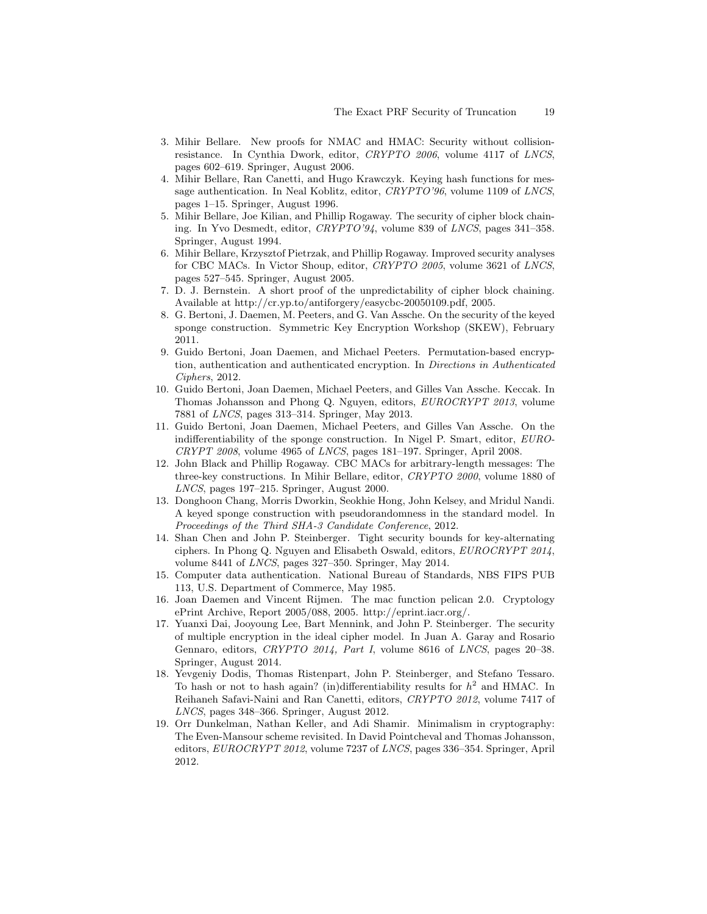- 3. Mihir Bellare. New proofs for NMAC and HMAC: Security without collisionresistance. In Cynthia Dwork, editor, CRYPTO 2006, volume 4117 of LNCS, pages 602–619. Springer, August 2006.
- 4. Mihir Bellare, Ran Canetti, and Hugo Krawczyk. Keying hash functions for message authentication. In Neal Koblitz, editor, CRYPTO'96, volume 1109 of LNCS, pages 1–15. Springer, August 1996.
- 5. Mihir Bellare, Joe Kilian, and Phillip Rogaway. The security of cipher block chaining. In Yvo Desmedt, editor, CRYPTO'94, volume 839 of LNCS, pages 341–358. Springer, August 1994.
- 6. Mihir Bellare, Krzysztof Pietrzak, and Phillip Rogaway. Improved security analyses for CBC MACs. In Victor Shoup, editor, CRYPTO 2005, volume 3621 of LNCS, pages 527–545. Springer, August 2005.
- 7. D. J. Bernstein. A short proof of the unpredictability of cipher block chaining. Available at http://cr.yp.to/antiforgery/easycbc-20050109.pdf, 2005.
- 8. G. Bertoni, J. Daemen, M. Peeters, and G. Van Assche. On the security of the keyed sponge construction. Symmetric Key Encryption Workshop (SKEW), February 2011.
- 9. Guido Bertoni, Joan Daemen, and Michael Peeters. Permutation-based encryption, authentication and authenticated encryption. In Directions in Authenticated Ciphers, 2012.
- 10. Guido Bertoni, Joan Daemen, Michael Peeters, and Gilles Van Assche. Keccak. In Thomas Johansson and Phong Q. Nguyen, editors, EUROCRYPT 2013, volume 7881 of LNCS, pages 313–314. Springer, May 2013.
- 11. Guido Bertoni, Joan Daemen, Michael Peeters, and Gilles Van Assche. On the indifferentiability of the sponge construction. In Nigel P. Smart, editor, EURO-CRYPT 2008, volume 4965 of LNCS, pages 181–197. Springer, April 2008.
- 12. John Black and Phillip Rogaway. CBC MACs for arbitrary-length messages: The three-key constructions. In Mihir Bellare, editor, CRYPTO 2000, volume 1880 of LNCS, pages 197–215. Springer, August 2000.
- 13. Donghoon Chang, Morris Dworkin, Seokhie Hong, John Kelsey, and Mridul Nandi. A keyed sponge construction with pseudorandomness in the standard model. In Proceedings of the Third SHA-3 Candidate Conference, 2012.
- 14. Shan Chen and John P. Steinberger. Tight security bounds for key-alternating ciphers. In Phong Q. Nguyen and Elisabeth Oswald, editors, EUROCRYPT 2014, volume 8441 of LNCS, pages 327–350. Springer, May 2014.
- 15. Computer data authentication. National Bureau of Standards, NBS FIPS PUB 113, U.S. Department of Commerce, May 1985.
- 16. Joan Daemen and Vincent Rijmen. The mac function pelican 2.0. Cryptology ePrint Archive, Report 2005/088, 2005. http://eprint.iacr.org/.
- 17. Yuanxi Dai, Jooyoung Lee, Bart Mennink, and John P. Steinberger. The security of multiple encryption in the ideal cipher model. In Juan A. Garay and Rosario Gennaro, editors, CRYPTO 2014, Part I, volume 8616 of LNCS, pages 20–38. Springer, August 2014.
- 18. Yevgeniy Dodis, Thomas Ristenpart, John P. Steinberger, and Stefano Tessaro. To hash or not to hash again? (in)differentiability results for  $h^2$  and HMAC. In Reihaneh Safavi-Naini and Ran Canetti, editors, CRYPTO 2012, volume 7417 of LNCS, pages 348–366. Springer, August 2012.
- 19. Orr Dunkelman, Nathan Keller, and Adi Shamir. Minimalism in cryptography: The Even-Mansour scheme revisited. In David Pointcheval and Thomas Johansson, editors, EUROCRYPT 2012, volume 7237 of LNCS, pages 336–354. Springer, April 2012.